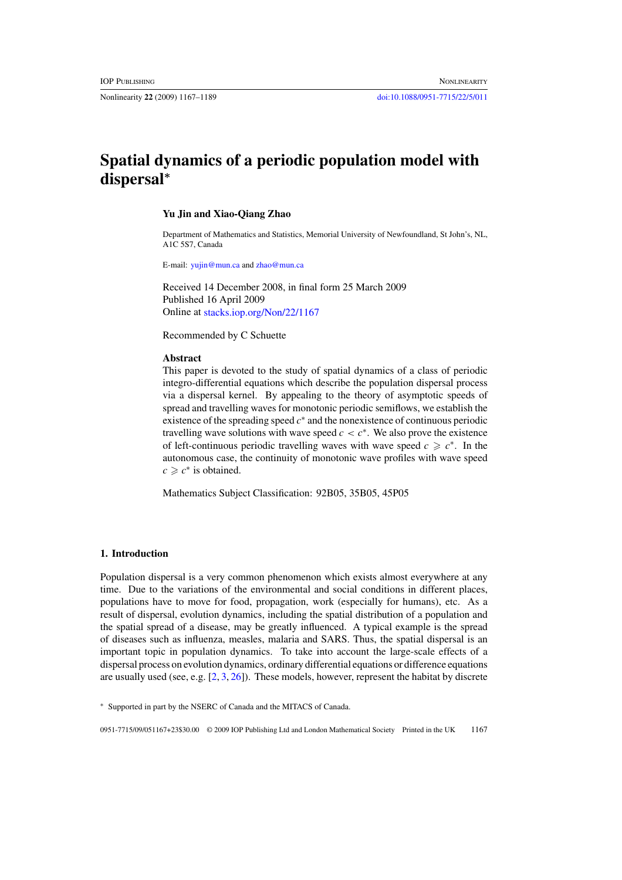Nonlinearity **22** (2009) 1167–1189 [doi:10.1088/0951-7715/22/5/011](http://dx.doi.org/10.1088/0951-7715/22/5/011)

# **Spatial dynamics of a periodic population model with dispersal***<sup>∗</sup>*

#### **Yu Jin and Xiao-Qiang Zhao**

Department of Mathematics and Statistics, Memorial University of Newfoundland, St John's, NL, A1C 5S7, Canada

E-mail: [yujin@mun.ca](mailto: yujin@mun.ca) and [zhao@mun.ca](mailto: zhao@mun.ca)

Received 14 December 2008, in final form 25 March 2009 Published 16 April 2009 Online at [stacks.iop.org/Non/22/1167](http://stacks.iop.org/no/22/1167)

Recommended by C Schuette

## **Abstract**

This paper is devoted to the study of spatial dynamics of a class of periodic integro-differential equations which describe the population dispersal process via a dispersal kernel. By appealing to the theory of asymptotic speeds of spread and travelling waves for monotonic periodic semiflows, we establish the existence of the spreading speed *c*<sup>∗</sup> and the nonexistence of continuous periodic travelling wave solutions with wave speed  $c < c^*$ . We also prove the existence of left-continuous periodic travelling waves with wave speed  $c \geq c^*$ . In the autonomous case, the continuity of monotonic wave profiles with wave speed  $c \geq c^*$  is obtained.

Mathematics Subject Classification: 92B05, 35B05, 45P05

#### **1. Introduction**

Population dispersal is a very common phenomenon which exists almost everywhere at any time. Due to the variations of the environmental and social conditions in different places, populations have to move for food, propagation, work (especially for humans), etc. As a result of dispersal, evolution dynamics, including the spatial distribution of a population and the spatial spread of a disease, may be greatly influenced. A typical example is the spread of diseases such as influenza, measles, malaria and SARS. Thus, the spatial dispersal is an important topic in population dynamics. To take into account the large-scale effects of a dispersal process on evolution dynamics, ordinary differential equations or difference equations are usually used (see, e.g. [\[2,](#page-21-0) [3,](#page-21-0) [26\]](#page-22-0)). These models, however, represent the habitat by discrete

0951-7715/09/051167+23\$30.00 © 2009 IOP Publishing Ltd and London Mathematical Society Printed in the UK 1167

<sup>∗</sup> Supported in part by the NSERC of Canada and the MITACS of Canada.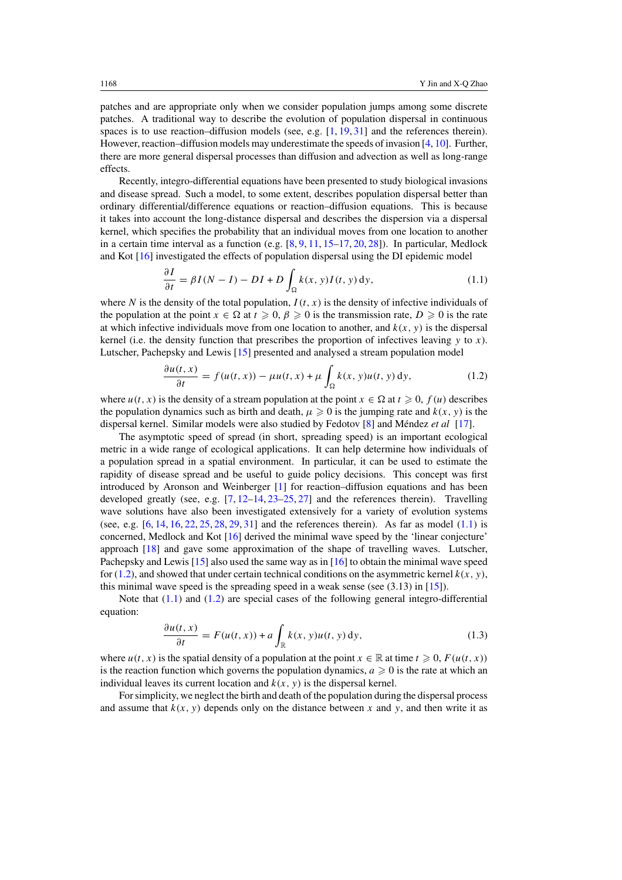patches and are appropriate only when we consider population jumps among some discrete patches. A traditional way to describe the evolution of population dispersal in continuous spaces is to use reaction–diffusion models (see, e.g.  $[1, 19, 31]$  $[1, 19, 31]$  $[1, 19, 31]$  $[1, 19, 31]$  $[1, 19, 31]$  and the references therein). However, reaction–diffusion models may underestimate the speeds of invasion [\[4,](#page-21-0) [10\]](#page-21-0). Further, there are more general dispersal processes than diffusion and advection as well as long-range effects.

Recently, integro-differential equations have been presented to study biological invasions and disease spread. Such a model, to some extent, describes population dispersal better than ordinary differential/difference equations or reaction–diffusion equations. This is because it takes into account the long-distance dispersal and describes the dispersion via a dispersal kernel, which specifies the probability that an individual moves from one location to another in a certain time interval as a function (e.g.  $[8, 9, 11, 15-17, 20, 28]$  $[8, 9, 11, 15-17, 20, 28]$  $[8, 9, 11, 15-17, 20, 28]$  $[8, 9, 11, 15-17, 20, 28]$  $[8, 9, 11, 15-17, 20, 28]$  $[8, 9, 11, 15-17, 20, 28]$  $[8, 9, 11, 15-17, 20, 28]$  $[8, 9, 11, 15-17, 20, 28]$  $[8, 9, 11, 15-17, 20, 28]$ ). In particular, Medlock and Kot [\[16\]](#page-21-0) investigated the effects of population dispersal using the DI epidemic model

$$
\frac{\partial I}{\partial t} = \beta I (N - I) - DI + D \int_{\Omega} k(x, y) I(t, y) dy,
$$
\n(1.1)

where *N* is the density of the total population,  $I(t, x)$  is the density of infective individuals of the population at the point  $x \in \Omega$  at  $t \geq 0$ ,  $\beta \geq 0$  is the transmission rate,  $D \geq 0$  is the rate at which infective individuals move from one location to another, and  $k(x, y)$  is the dispersal kernel (i.e. the density function that prescribes the proportion of infectives leaving *y* to *x*). Lutscher, Pachepsky and Lewis [\[15\]](#page-21-0) presented and analysed a stream population model

$$
\frac{\partial u(t,x)}{\partial t} = f(u(t,x)) - \mu u(t,x) + \mu \int_{\Omega} k(x,y)u(t,y) \,dy,\tag{1.2}
$$

where  $u(t, x)$  is the density of a stream population at the point  $x \in \Omega$  at  $t \ge 0$ ,  $f(u)$  describes the population dynamics such as birth and death,  $\mu \geq 0$  is the jumping rate and  $k(x, y)$  is the dispersal kernel. Similar models were also studied by Fedotov [\[8\]](#page-21-0) and Méndez *et al* [\[17\]](#page-21-0).

The asymptotic speed of spread (in short, spreading speed) is an important ecological metric in a wide range of ecological applications. It can help determine how individuals of a population spread in a spatial environment. In particular, it can be used to estimate the rapidity of disease spread and be useful to guide policy decisions. This concept was first introduced by Aronson and Weinberger [\[1\]](#page-21-0) for reaction–diffusion equations and has been developed greatly (see, e.g.  $[7, 12-14, 23-25, 27]$  $[7, 12-14, 23-25, 27]$  $[7, 12-14, 23-25, 27]$  and the references therein). Travelling wave solutions have also been investigated extensively for a variety of evolution systems (see, e.g.  $[6, 14, 16, 22, 25, 28, 29, 31]$  $[6, 14, 16, 22, 25, 28, 29, 31]$  $[6, 14, 16, 22, 25, 28, 29, 31]$  $[6, 14, 16, 22, 25, 28, 29, 31]$  $[6, 14, 16, 22, 25, 28, 29, 31]$  $[6, 14, 16, 22, 25, 28, 29, 31]$  $[6, 14, 16, 22, 25, 28, 29, 31]$  $[6, 14, 16, 22, 25, 28, 29, 31]$  $[6, 14, 16, 22, 25, 28, 29, 31]$  $[6, 14, 16, 22, 25, 28, 29, 31]$  $[6, 14, 16, 22, 25, 28, 29, 31]$  $[6, 14, 16, 22, 25, 28, 29, 31]$  $[6, 14, 16, 22, 25, 28, 29, 31]$  $[6, 14, 16, 22, 25, 28, 29, 31]$  $[6, 14, 16, 22, 25, 28, 29, 31]$  and the references therein). As far as model  $(1.1)$  is concerned, Medlock and Kot [\[16\]](#page-21-0) derived the minimal wave speed by the 'linear conjecture' approach [\[18\]](#page-21-0) and gave some approximation of the shape of travelling waves. Lutscher, Pachepsky and Lewis [\[15\]](#page-21-0) also used the same way as in [\[16\]](#page-21-0) to obtain the minimal wave speed for (1.2), and showed that under certain technical conditions on the asymmetric kernel  $k(x, y)$ , this minimal wave speed is the spreading speed in a weak sense (see  $(3.13)$  in [\[15\]](#page-21-0)).

Note that  $(1.1)$  and  $(1.2)$  are special cases of the following general integro-differential equation:

$$
\frac{\partial u(t,x)}{\partial t} = F(u(t,x)) + a \int_{\mathbb{R}} k(x,y)u(t,y) \,dy,\tag{1.3}
$$

where  $u(t, x)$  is the spatial density of a population at the point  $x \in \mathbb{R}$  at time  $t \geq 0$ ,  $F(u(t, x))$ is the reaction function which governs the population dynamics,  $a \ge 0$  is the rate at which an individual leaves its current location and  $k(x, y)$  is the dispersal kernel.

For simplicity, we neglect the birth and death of the population during the dispersal process and assume that  $k(x, y)$  depends only on the distance between x and y, and then write it as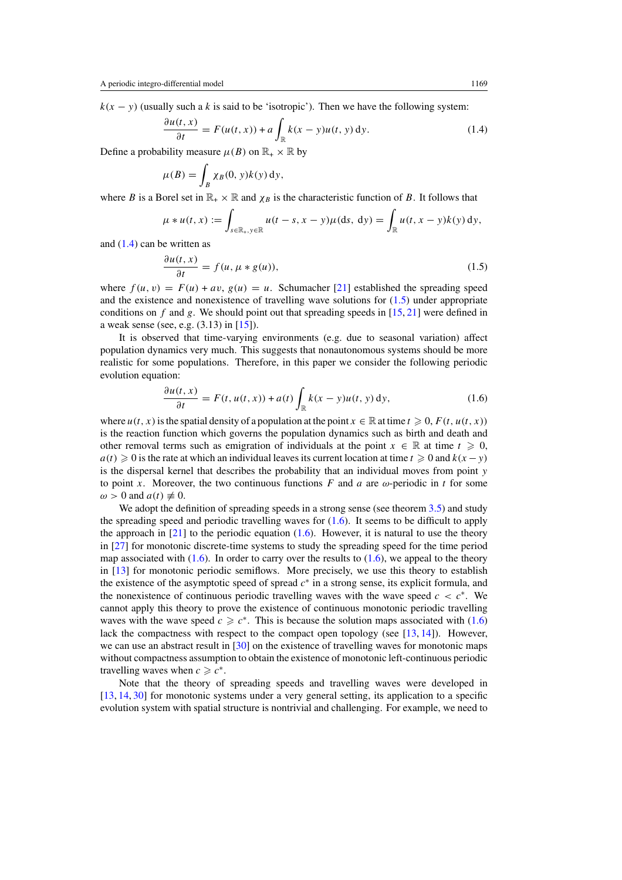<span id="page-2-0"></span> $k(x - y)$  (usually such a *k* is said to be 'isotropic'). Then we have the following system:

$$
\frac{\partial u(t,x)}{\partial t} = F(u(t,x)) + a \int_{\mathbb{R}} k(x-y)u(t,y) \,dy. \tag{1.4}
$$

Define a probability measure  $\mu(B)$  on  $\mathbb{R}_+ \times \mathbb{R}$  by

$$
\mu(B) = \int_B \chi_B(0, y) k(y) \, dy,
$$

where *B* is a Borel set in  $\mathbb{R}_+ \times \mathbb{R}$  and  $\chi_B$  is the characteristic function of *B*. It follows that

$$
\mu * u(t, x) := \int_{s \in \mathbb{R}_+, y \in \mathbb{R}} u(t - s, x - y) \mu(ds, dy) = \int_{\mathbb{R}} u(t, x - y) k(y) dy,
$$

and (1.4) can be written as

$$
\frac{\partial u(t, x)}{\partial t} = f(u, \mu * g(u)),\tag{1.5}
$$

where  $f(u, v) = F(u) + av$ ,  $g(u) = u$ . Schumacher [\[21\]](#page-21-0) established the spreading speed and the existence and nonexistence of travelling wave solutions for (1.5) under appropriate conditions on  $f$  and  $g$ . We should point out that spreading speeds in  $[15, 21]$  $[15, 21]$  $[15, 21]$  were defined in a weak sense (see, e.g. (3.13) in [\[15\]](#page-21-0)).

It is observed that time-varying environments (e.g. due to seasonal variation) affect population dynamics very much. This suggests that nonautonomous systems should be more realistic for some populations. Therefore, in this paper we consider the following periodic evolution equation:

$$
\frac{\partial u(t,x)}{\partial t} = F(t, u(t,x)) + a(t) \int_{\mathbb{R}} k(x-y)u(t,y) \,dy,\tag{1.6}
$$

where  $u(t, x)$  is the spatial density of a population at the point  $x \in \mathbb{R}$  at time  $t \geq 0$ ,  $F(t, u(t, x))$ is the reaction function which governs the population dynamics such as birth and death and other removal terms such as emigration of individuals at the point  $x \in \mathbb{R}$  at time  $t \geq 0$ ,  $a(t) \geq 0$  is the rate at which an individual leaves its current location at time  $t \geq 0$  and  $k(x - y)$ is the dispersal kernel that describes the probability that an individual moves from point *y* to point *x*. Moreover, the two continuous functions *F* and *a* are  $\omega$ -periodic in *t* for some  $\omega > 0$  and  $a(t) \neq 0$ .

We adopt the definition of spreading speeds in a strong sense (see theorem [3.5\)](#page-11-0) and study the spreading speed and periodic travelling waves for  $(1.6)$ . It seems to be difficult to apply the approach in  $[21]$  to the periodic equation  $(1.6)$ . However, it is natural to use the theory in [\[27\]](#page-22-0) for monotonic discrete-time systems to study the spreading speed for the time period map associated with  $(1.6)$ . In order to carry over the results to  $(1.6)$ , we appeal to the theory in [\[13\]](#page-21-0) for monotonic periodic semiflows. More precisely, we use this theory to establish the existence of the asymptotic speed of spread *c*<sup>∗</sup> in a strong sense, its explicit formula, and the nonexistence of continuous periodic travelling waves with the wave speed  $c < c^*$ . We cannot apply this theory to prove the existence of continuous monotonic periodic travelling waves with the wave speed  $c \geq c^*$ . This is because the solution maps associated with (1.6) lack the compactness with respect to the compact open topology (see  $[13, 14]$  $[13, 14]$  $[13, 14]$ ). However, we can use an abstract result in [\[30\]](#page-22-0) on the existence of travelling waves for monotonic maps without compactness assumption to obtain the existence of monotonic left-continuous periodic travelling waves when  $c \geq c^*$ .

Note that the theory of spreading speeds and travelling waves were developed in [\[13,](#page-21-0) [14,](#page-21-0) [30\]](#page-22-0) for monotonic systems under a very general setting, its application to a specific evolution system with spatial structure is nontrivial and challenging. For example, we need to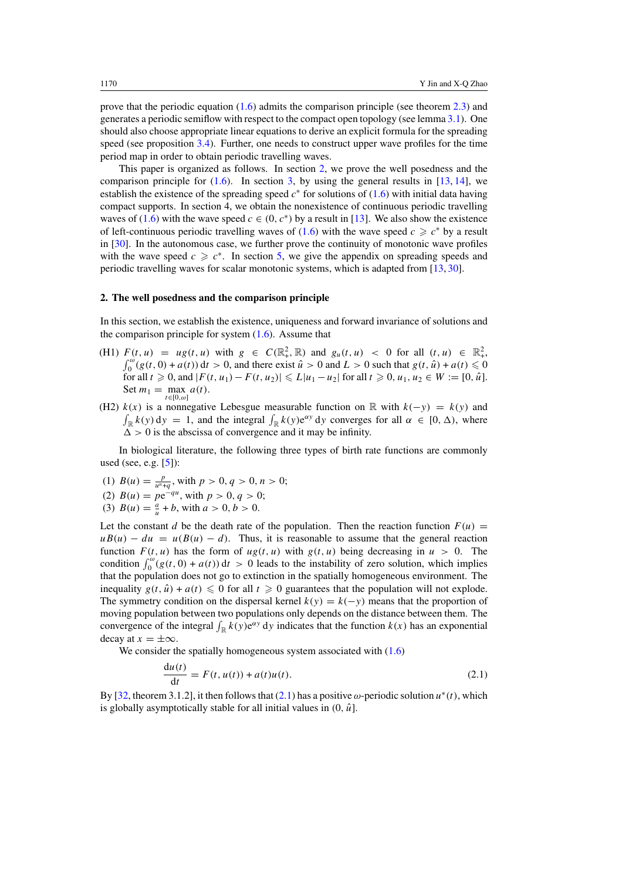<span id="page-3-0"></span>prove that the periodic equation [\(1.6\)](#page-2-0) admits the comparison principle (see theorem [2.3\)](#page-5-0) and generates a periodic semiflow with respect to the compact open topology (see lemma [3.1\)](#page-6-0). One should also choose appropriate linear equations to derive an explicit formula for the spreading speed (see proposition [3.4\)](#page-9-0). Further, one needs to construct upper wave profiles for the time period map in order to obtain periodic travelling waves.

This paper is organized as follows. In section 2, we prove the well posedness and the comparison principle for  $(1.6)$ . In section [3,](#page-6-0) by using the general results in [\[13,](#page-21-0) [14\]](#page-21-0), we establish the existence of the spreading speed  $c^*$  for solutions of [\(1.6\)](#page-2-0) with initial data having compact supports. In section 4, we obtain the nonexistence of continuous periodic travelling waves of [\(1.6\)](#page-2-0) with the wave speed  $c \in (0, c^*)$  by a result in [\[13\]](#page-21-0). We also show the existence of left-continuous periodic travelling waves of [\(1.6\)](#page-2-0) with the wave speed  $c \geq c^*$  by a result in [\[30\]](#page-22-0). In the autonomous case, we further prove the continuity of monotonic wave profiles with the wave speed  $c \geq c^*$ . In section [5,](#page-18-0) we give the appendix on spreading speeds and periodic travelling waves for scalar monotonic systems, which is adapted from [\[13,](#page-21-0) [30\]](#page-22-0).

### **2. The well posedness and the comparison principle**

In this section, we establish the existence, uniqueness and forward invariance of solutions and the comparison principle for system  $(1.6)$ . Assume that

- (H1)  $F(t, u) = ug(t, u)$  with  $g \in C(\mathbb{R}^2_+, \mathbb{R})$  and  $g_u(t, u) < 0$  for all  $(t, u) \in \mathbb{R}^2_+$ ,  $\int_0^\omega (g(t, 0) + a(t)) dt > 0$ , and there exist  $\hat{u} > 0$  and  $L > 0$  such that  $g(t, \hat{u}) + a(t) \le 0$  $\int_0^{\omega} (g(t, 0) + a(t)) dt > 0$ , and there exist  $\hat{u} > 0$  and  $L > 0$  such that  $g(t, \hat{u}) + a(t) \le 0$  $f(x) = \int_0^x f(x, u_1) - f(x, u_2)$   $\le L |u_1 - u_2|$  for all  $t \ge 0, u_1, u_2 \in W := [0, \hat{u}]$ . Set  $m_1 = \max_{t \in \mathbb{R}^n} a(t)$ . *t*∈[0*,ω*]
- (H2)  $k(x)$  is a nonnegative Lebesgue measurable function on R with  $k(-y) = k(y)$  and  $\int_{\mathbb{R}} k(y) dy = 1$ , and the integral  $\int_{\mathbb{R}} k(y) e^{\alpha y} dy$  converges for all  $\alpha \in [0, \Delta)$ , where  $\Delta > 0$  is the abscissa of convergence and it may be infinity.

In biological literature, the following three types of birth rate functions are commonly used (see, e.g. [\[5\]](#page-21-0)):

- (1)  $B(u) = \frac{p}{u^n + q}$ , with  $p > 0, q > 0, n > 0$ ;
- (2)  $B(u) = pe^{-qu}$ , with  $p > 0, q > 0$ ;
- (3)  $B(u) = \frac{a}{u} + b$ , with  $a > 0, b > 0$ .

Let the constant *d* be the death rate of the population. Then the reaction function  $F(u)$  =  $uB(u) - du = u(B(u) - d)$ . Thus, it is reasonable to assume that the general reaction function  $F(t, u)$  has the form of  $u g(t, u)$  with  $g(t, u)$  being decreasing in  $u > 0$ . The condition  $\int_0^{\omega} (g(t, 0) + a(t)) dt > 0$  leads to the instability of zero solution, which implies that the population does not go to extinction in the spatially homogeneous environment. The inequality  $g(t, \hat{u}) + a(t) \leq 0$  for all  $t \geq 0$  guarantees that the population will not explode. The symmetry condition on the dispersal kernel  $k(y) = k(-y)$  means that the proportion of moving population between two populations only depends on the distance between them. The convergence of the integral  $\int_{\mathbb{R}} k(y) e^{\alpha y} dy$  indicates that the function  $k(x)$  has an exponential decay at  $x = \pm \infty$ .

We consider the spatially homogeneous system associated with  $(1.6)$ 

$$
\frac{\mathrm{d}u(t)}{\mathrm{d}t} = F(t, u(t)) + a(t)u(t). \tag{2.1}
$$

By [\[32,](#page-22-0) theorem 3.1.2], it then follows that (2.1) has a positive *ω*-periodic solution *u*<sup>∗</sup>*(t)*, which is globally asymptotically stable for all initial values in  $(0, \hat{u})$ .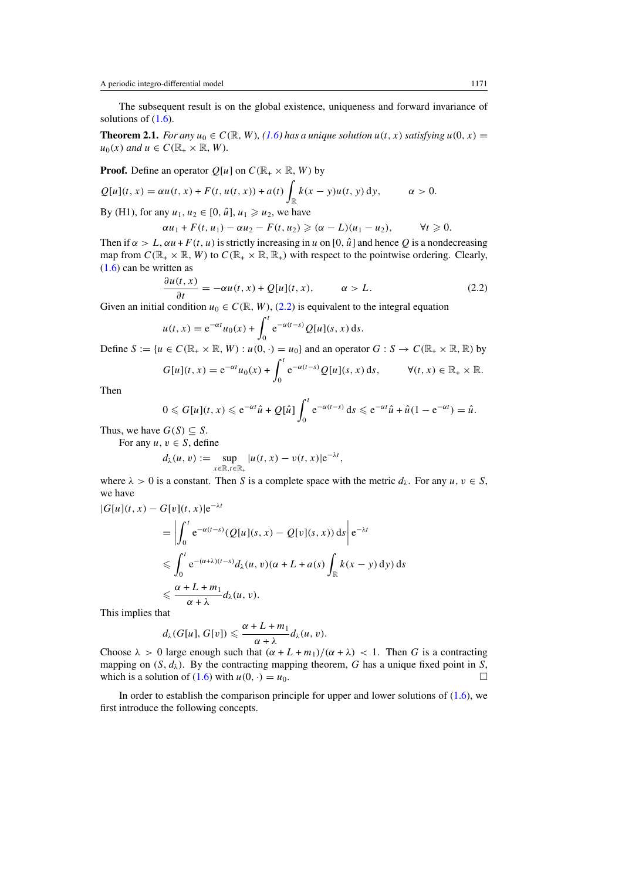<span id="page-4-0"></span>The subsequent result is on the global existence, uniqueness and forward invariance of solutions of  $(1.6)$ .

**Theorem 2.1.** *For any*  $u_0 \in C(\mathbb{R}, W)$ *, [\(1.6\)](#page-2-0) has a unique solution*  $u(t, x)$  *satisfying*  $u(0, x) =$  $u_0(x)$  *and*  $u \in C(\mathbb{R}_+ \times \mathbb{R}, W)$ *.* 

**Proof.** Define an operator 
$$
Q[u]
$$
 on  $C(\mathbb{R}_+ \times \mathbb{R}, W)$  by  
\n $Q[u](t, x) = \alpha u(t, x) + F(t, u(t, x)) + a(t) \int_{\mathbb{R}} k(x - y)u(t, y) dy, \qquad \alpha > 0.$   
\nBy (H1), for any  $u_1, u_2 \in [0, \hat{u}], u_1 \ge u_2$ , we have

$$
\alpha u_1 + F(t, u_1) - \alpha u_2 - F(t, u_2) \geqslant (\alpha - L)(u_1 - u_2), \qquad \forall t \geqslant 0.
$$

Then if  $\alpha > L$ ,  $\alpha u + F(t, u)$  is strictly increasing in *u* on [0,  $\hat{u}$ ] and hence Q is a nondecreasing map from  $C(\mathbb{R}_+ \times \mathbb{R}, W)$  to  $C(\mathbb{R}_+ \times \mathbb{R}, \mathbb{R}_+)$  with respect to the pointwise ordering. Clearly, [\(1.6\)](#page-2-0) can be written as

$$
\frac{\partial u(t,x)}{\partial t} = -\alpha u(t,x) + Q[u](t,x), \qquad \alpha > L. \tag{2.2}
$$

Given an initial condition  $u_0 \in C(\mathbb{R}, W)$ , (2.2) is equivalent to the integral equation

$$
u(t,x) = e^{-\alpha t}u_0(x) + \int_0^t e^{-\alpha(t-s)}Q[u](s,x) ds.
$$

Define  $S := \{u \in C(\mathbb{R}_+ \times \mathbb{R}, W) : u(0, \cdot) = u_0\}$  and an operator  $G : S \to C(\mathbb{R}_+ \times \mathbb{R}, \mathbb{R})$  by

$$
G[u](t,x) = e^{-\alpha t}u_0(x) + \int_0^t e^{-\alpha(t-s)}Q[u](s,x) ds, \qquad \forall (t,x) \in \mathbb{R}_+ \times \mathbb{R}.
$$

Then

$$
0 \leq G[u](t,x) \leq e^{-\alpha t} \hat{u} + Q[\hat{u}] \int_0^t e^{-\alpha(t-s)} ds \leq e^{-\alpha t} \hat{u} + \hat{u}(1 - e^{-\alpha t}) = \hat{u}.
$$

Thus, we have  $G(S) \subseteq S$ .

For any  $u, v \in S$ , define

$$
d_{\lambda}(u, v) := \sup_{x \in \mathbb{R}, t \in \mathbb{R}_+} |u(t, x) - v(t, x)| e^{-\lambda t},
$$

where  $\lambda > 0$  is a constant. Then *S* is a complete space with the metric  $d_{\lambda}$ . For any  $u, v \in S$ , we have

$$
|G[u](t, x) - G[v](t, x)|e^{-\lambda t}
$$
  
= 
$$
\left| \int_0^t e^{-\alpha(t-s)} (Q[u](s, x) - Q[v](s, x)) ds \right| e^{-\lambda t}
$$
  

$$
\leq \int_0^t e^{-(\alpha + \lambda)(t-s)} d_\lambda(u, v)(\alpha + L + a(s)) \int_{\mathbb{R}} k(x - y) dy) ds
$$
  

$$
\leq \frac{\alpha + L + m_1}{\alpha + \lambda} d_\lambda(u, v).
$$

This implies that

$$
d_{\lambda}(G[u], G[v]) \leqslant \frac{\alpha + L + m_1}{\alpha + \lambda} d_{\lambda}(u, v).
$$

Choose  $\lambda > 0$  large enough such that  $(\alpha + L + m_1)/(\alpha + \lambda) < 1$ . Then *G* is a contracting mapping on  $(S, d_\lambda)$ . By the contracting mapping theorem, *G* has a unique fixed point in *S*, which is a solution of [\(1.6\)](#page-2-0) with  $u(0, \cdot) = u_0$ .

In order to establish the comparison principle for upper and lower solutions of  $(1.6)$ , we first introduce the following concepts.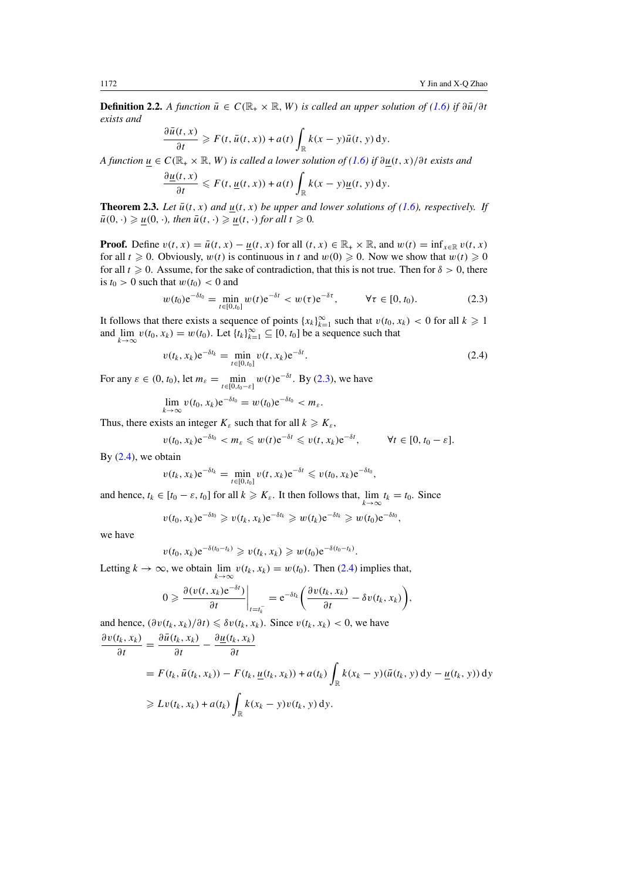<span id="page-5-0"></span>**Definition 2.2.** *A function*  $\bar{u} \in C(\mathbb{R}_+ \times \mathbb{R}, W)$  *is called an upper solution of [\(1.6\)](#page-2-0) if*  $\partial \bar{u}/\partial t$ *exists and*

$$
\frac{\partial \bar{u}(t,x)}{\partial t} \geqslant F(t, \bar{u}(t,x)) + a(t) \int_{\mathbb{R}} k(x-y) \bar{u}(t,y) \,dy.
$$

*A function*  $u \in C(\mathbb{R}_+ \times \mathbb{R}, W)$  *is called a lower solution of*  $(1.6)$  *if*  $\partial u(t, x)/\partial t$  *exists and* 

$$
\frac{\partial \underline{u}(t,x)}{\partial t} \leqslant F(t, \underline{u}(t,x)) + a(t) \int_{\mathbb{R}} k(x-y) \underline{u}(t,y) \, dy.
$$

**Theorem 2.3.** *Let*  $\bar{u}(t, x)$  *and*  $\underline{u}(t, x)$  *be upper and lower solutions of [\(1.6\)](#page-2-0), respectively. If*  $\bar{u}(0, \cdot) \geq u(0, \cdot)$ *, then*  $\bar{u}(t, \cdot) \geq u(t, \cdot)$  *for all*  $t \geq 0$ *.* 

**Proof.** Define  $v(t, x) = \bar{u}(t, x) - \underline{u}(t, x)$  for all  $(t, x) \in \mathbb{R}_+ \times \mathbb{R}$ , and  $w(t) = \inf_{x \in \mathbb{R}} v(t, x)$ for all  $t \ge 0$ . Obviously,  $w(t)$  is continuous in t and  $w(0) \ge 0$ . Now we show that  $w(t) \ge 0$ for all  $t \ge 0$ . Assume, for the sake of contradiction, that this is not true. Then for  $\delta > 0$ , there is  $t_0 > 0$  such that  $w(t_0) < 0$  and

$$
w(t_0)e^{-\delta t_0} = \min_{t \in [0, t_0]} w(t)e^{-\delta t} < w(\tau)e^{-\delta \tau}, \qquad \forall \tau \in [0, t_0). \tag{2.3}
$$

It follows that there exists a sequence of points  $\{x_k\}_{k=1}^{\infty}$  such that  $v(t_0, x_k) < 0$  for all  $k \ge 1$ and  $\lim_{k\to\infty} v(t_0, x_k) = w(t_0)$ . Let  $\{t_k\}_{k=1}^{\infty} \subseteq [0, t_0]$  be a sequence such that

$$
v(t_k, x_k) e^{-\delta t_k} = \min_{t \in [0, t_0]} v(t, x_k) e^{-\delta t}.
$$
\n(2.4)

For any  $\varepsilon \in (0, t_0)$ , let  $m_{\varepsilon} = \min_{t \in [0, t_0 - \varepsilon]} w(t) e^{-\delta t}$ . By (2.3), we have

$$
\lim_{k\to\infty}v(t_0,x_k)e^{-\delta t_0}=w(t_0)e^{-\delta t_0}
$$

Thus, there exists an integer  $K_{\varepsilon}$  such that for all  $k \geq K_{\varepsilon}$ ,

$$
v(t_0, x_k) e^{-\delta t_0} < m_\varepsilon \leqslant w(t) e^{-\delta t} \leqslant v(t, x_k) e^{-\delta t}, \qquad \forall t \in [0, t_0 - \varepsilon].
$$

By  $(2.4)$ , we obtain

$$
v(t_k, x_k) e^{-\delta t_k} = \min_{t \in [0, t_0]} v(t, x_k) e^{-\delta t} \leqslant v(t_0, x_k) e^{-\delta t_0},
$$

and hence,  $t_k \in [t_0 - \varepsilon, t_0]$  for all  $k \ge K_{\varepsilon}$ . It then follows that,  $\lim_{k \to \infty} t_k = t_0$ . Since

$$
v(t_0, x_k) e^{-\delta t_0} \geqslant v(t_k, x_k) e^{-\delta t_k} \geqslant w(t_k) e^{-\delta t_k} \geqslant w(t_0) e^{-\delta t_0},
$$

we have

$$
v(t_0, x_k) e^{-\delta(t_0 - t_k)} \geqslant v(t_k, x_k) \geqslant w(t_0) e^{-\delta(t_0 - t_k)}.
$$

Letting  $k \to \infty$ , we obtain  $\lim_{k \to \infty} v(t_k, x_k) = w(t_0)$ . Then (2.4) implies that,

$$
0 \geqslant \frac{\partial (v(t, x_k)e^{-\delta t})}{\partial t}\bigg|_{t=t_k^-} = e^{-\delta t_k} \bigg(\frac{\partial v(t_k, x_k)}{\partial t} - \delta v(t_k, x_k)\bigg),
$$

and hence,  $(\partial v(t_k, x_k)/\partial t) \leq \delta v(t_k, x_k)$ . Since  $v(t_k, x_k) < 0$ , we have

$$
\frac{\partial v(t_k, x_k)}{\partial t} = \frac{\partial \bar{u}(t_k, x_k)}{\partial t} - \frac{\partial \underline{u}(t_k, x_k)}{\partial t}
$$
  
=  $F(t_k, \bar{u}(t_k, x_k)) - F(t_k, \underline{u}(t_k, x_k)) + a(t_k) \int_{\mathbb{R}} k(x_k - y)(\bar{u}(t_k, y) dy - \underline{u}(t_k, y)) dy$   
 $\geq Lv(t_k, x_k) + a(t_k) \int_{\mathbb{R}} k(x_k - y)v(t_k, y) dy.$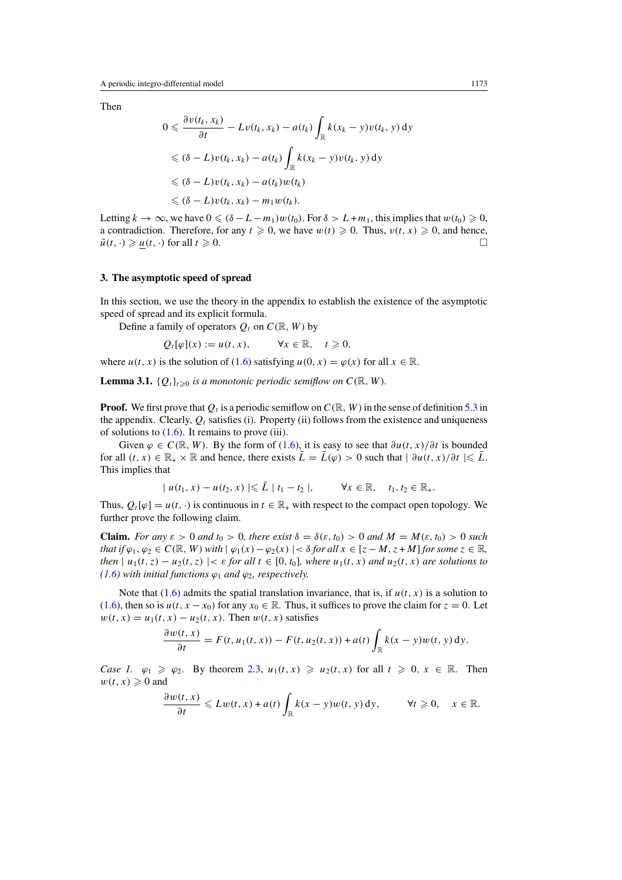<span id="page-6-0"></span>Then

$$
0 \leq \frac{\partial v(t_k, x_k)}{\partial t} - Lv(t_k, x_k) - a(t_k) \int_{\mathbb{R}} k(x_k - y)v(t_k, y) dy
$$
  
\n
$$
\leq (\delta - L)v(t_k, x_k) - a(t_k) \int_{\mathbb{R}} k(x_k - y)v(t_k, y) dy
$$
  
\n
$$
\leq (\delta - L)v(t_k, x_k) - a(t_k)w(t_k)
$$
  
\n
$$
\leq (\delta - L)v(t_k, x_k) - m_1 w(t_k).
$$

Letting  $k \to \infty$ , we have  $0 \leq (\delta - L - m_1)w(t_0)$ . For  $\delta > L + m_1$ , this implies that  $w(t_0) \geq 0$ , a contradiction. Therefore, for any  $t \ge 0$ , we have  $w(t) \ge 0$ . Thus,  $v(t, x) \ge 0$ , and hence,  $\bar{u}(t, \cdot) \geq \underline{u}(t, \cdot)$  for all  $t \geq 0$ .

#### **3. The asymptotic speed of spread**

In this section, we use the theory in the appendix to establish the existence of the asymptotic speed of spread and its explicit formula.

Define a family of operators  $Q_t$  on  $C(\mathbb{R}, W)$  by

$$
Q_t[\varphi](x) := u(t, x), \qquad \forall x \in \mathbb{R}, \quad t \geq 0,
$$

where  $u(t, x)$  is the solution of [\(1.6\)](#page-2-0) satisfying  $u(0, x) = \varphi(x)$  for all  $x \in \mathbb{R}$ .

**Lemma 3.1.**  $\{Q_t\}_{t\geq0}$  *is a monotonic periodic semiflow on*  $C(\mathbb{R}, W)$ *.* 

**Proof.** We first prove that  $Q_t$  is a periodic semiflow on  $C(\mathbb{R}, W)$  in the sense of definition [5.3](#page-20-0) in the appendix. Clearly,  $Q_t$  satisfies (i). Property (ii) follows from the existence and uniqueness of solutions to  $(1.6)$ . It remains to prove (iii).

Given  $\varphi \in C(\mathbb{R}, W)$ . By the form of [\(1.6\)](#page-2-0), it is easy to see that  $\partial u(t, x)/\partial t$  is bounded for all  $(t, x) \in \mathbb{R}_+ \times \mathbb{R}$  and hence, there exists  $\overline{L} = \overline{L}(\varphi) > 0$  such that  $| \partial u(t, x) / \partial t | \leq L$ . This implies that

$$
| u(t_1, x) - u(t_2, x) | \le L | t_1 - t_2 |,
$$
  $\forall x \in \mathbb{R}, t_1, t_2 \in \mathbb{R}_+.$ 

Thus,  $Q_t[\varphi] = u(t, \cdot)$  is continuous in  $t \in \mathbb{R}_+$  with respect to the compact open topology. We further prove the following claim.

**Claim.** *For any*  $\varepsilon > 0$  *and*  $t_0 > 0$ *, there exist*  $\delta = \delta(\varepsilon, t_0) > 0$  *and*  $M = M(\varepsilon, t_0) > 0$  *such that if*  $\varphi_1, \varphi_2 \in C(\mathbb{R}, W)$  *with*  $|\varphi_1(x) - \varphi_2(x)| < \delta$  for all  $x \in [z - M, z + M]$  *for some*  $z \in \mathbb{R}$ *, then*  $|u_1(t, z) - u_2(t, z)| \le \varepsilon$  *for all*  $t \in [0, t_0]$ *, where*  $u_1(t, x)$  *and*  $u_2(t, x)$  *are solutions to [\(1.6\)](#page-2-0)* with initial functions  $\varphi_1$  and  $\varphi_2$ , respectively.

Note that  $(1.6)$  admits the spatial translation invariance, that is, if  $u(t, x)$  is a solution to [\(1.6\)](#page-2-0), then so is  $u(t, x - x_0)$  for any  $x_0 \in \mathbb{R}$ . Thus, it suffices to prove the claim for  $z = 0$ . Let  $w(t, x) = u_1(t, x) - u_2(t, x)$ . Then  $w(t, x)$  satisfies

$$
\frac{\partial w(t,x)}{\partial t} = F(t, u_1(t,x)) - F(t, u_2(t,x)) + a(t) \int_{\mathbb{R}} k(x-y) w(t, y) dy.
$$

*Case 1.*  $\varphi_1 \geq \varphi_2$ . By theorem [2.3,](#page-5-0)  $u_1(t, x) \geq u_2(t, x)$  for all  $t \geq 0, x \in \mathbb{R}$ . Then  $w(t, x) \geq 0$  and

$$
\frac{\partial w(t,x)}{\partial t}\leqslant Lw(t,x)+a(t)\int_{\mathbb{R}}k(x-y)w(t,y)\,dy,\qquad \forall t\geqslant 0,\quad x\in\mathbb{R}.
$$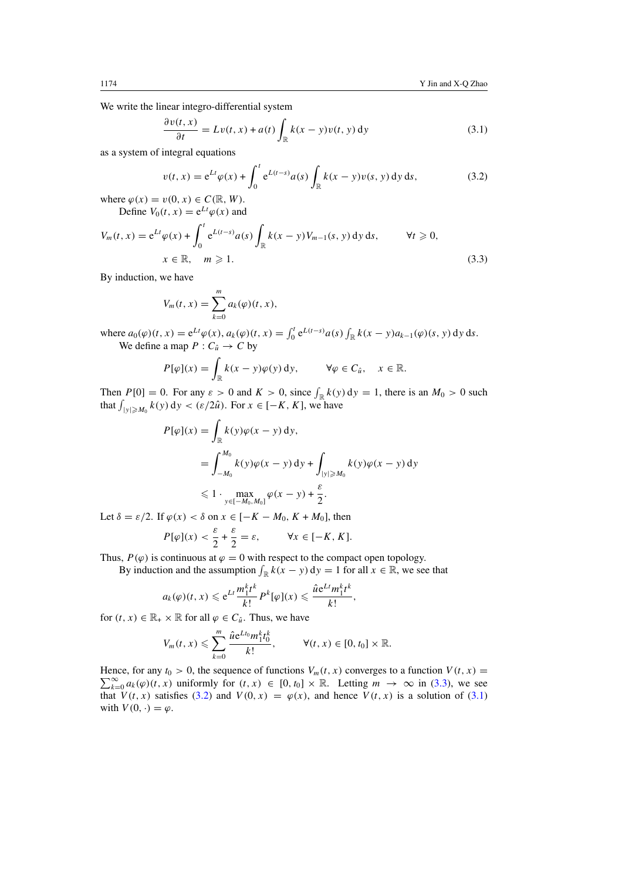We write the linear integro-differential system

$$
\frac{\partial v(t, x)}{\partial t} = Lv(t, x) + a(t) \int_{\mathbb{R}} k(x - y)v(t, y) dy
$$
\n(3.1)

as a system of integral equations

$$
v(t, x) = e^{Lt} \varphi(x) + \int_0^t e^{L(t-s)} a(s) \int_{\mathbb{R}} k(x - y) v(s, y) \, dy \, ds,
$$
 (3.2)

where  $\varphi(x) = v(0, x) \in C(\mathbb{R}, W)$ . Define  $V_0(t, x) = e^{Lt}\varphi(x)$  and

$$
V_m(t, x) = e^{Lt} \varphi(x) + \int_0^t e^{L(t-s)} a(s) \int_{\mathbb{R}} k(x - y) V_{m-1}(s, y) dy ds, \qquad \forall t \geq 0,
$$
  

$$
x \in \mathbb{R}, \quad m \geq 1.
$$
 (3.3)

By induction, we have

$$
V_m(t,x) = \sum_{k=0}^m a_k(\varphi)(t,x),
$$

where  $a_0(\varphi)(t, x) = e^{Lt}\varphi(x), a_k(\varphi)(t, x) = \int_0^t e^{L(t-s)}a(s) \int_{\mathbb{R}} k(x - y)a_{k-1}(\varphi)(s, y) dy ds.$ We define a map  $P: C_{\hat{u}} \to C$  by

$$
P[\varphi](x) = \int_{\mathbb{R}} k(x - y)\varphi(y) \,dy, \qquad \forall \varphi \in C_{\hat{u}}, \quad x \in \mathbb{R}.
$$

Then  $P[0] = 0$ . For any  $\varepsilon > 0$  and  $K > 0$ , since  $\int_{\mathbb{R}} k(y) dy = 1$ , there is an  $M_0 > 0$  such that  $\int_{|y| \ge M_0} k(y) dy < (\varepsilon/2\hat{u})$ . For  $x \in [-K, K]$ , we have

$$
P[\varphi](x) = \int_{\mathbb{R}} k(y)\varphi(x - y) dy,
$$
  
= 
$$
\int_{-M_0}^{M_0} k(y)\varphi(x - y) dy + \int_{|y| \ge M_0} k(y)\varphi(x - y) dy
$$
  
\$\le 1 \cdot \max\_{y \in [-M\_0, M\_0]} \varphi(x - y) + \frac{\varepsilon}{2}.\$

Let  $\delta = \varepsilon/2$ . If  $\varphi(x) < \delta$  on  $x \in [-K - M_0, K + M_0]$ , then

$$
P[\varphi](x) < \frac{\varepsilon}{2} + \frac{\varepsilon}{2} = \varepsilon, \qquad \forall x \in [-K, K].
$$

Thus,  $P(\varphi)$  is continuous at  $\varphi = 0$  with respect to the compact open topology.

By induction and the assumption  $\int_{\mathbb{R}} k(x - y) dy = 1$  for all  $x \in \mathbb{R}$ , we see that

$$
a_k(\varphi)(t,x) \leqslant e^{Lt} \frac{m_1^k t^k}{k!} P^k[\varphi](x) \leqslant \frac{\hat{u}e^{Lt} m_1^k t^k}{k!},
$$

for  $(t, x) \in \mathbb{R}_+ \times \mathbb{R}$  for all  $\varphi \in C_{\hat{u}}$ . Thus, we have

$$
V_m(t,x)\leqslant \sum_{k=0}^m\frac{\hat{u}e^{Lt_0}m_1^kt_0^k}{k!},\qquad \forall (t,x)\in [0,t_0]\times \mathbb{R}.
$$

Hence, for any  $t_0 > 0$ , the sequence of functions  $V_m(t, x)$  converges to a function  $V(t, x) = \sum_{n=0}^{\infty} a_n(x)(t, x)$  uniformly for  $(t, x) \in [0, t] \times \mathbb{R}$ . Letting  $m \to \infty$  in  $(3, 3)$ , we see  $\sum_{k=0}^{\infty} a_k(\varphi)(t, x)$  uniformly for  $(t, x) \in [0, t_0] \times \mathbb{R}$ . Letting  $m \to \infty$  in (3.3), we see that  $V(t, x)$  satisfies (3.2) and  $V(0, x) = \varphi(x)$ , and hence  $V(t, x)$  is a solution of (3.1) with  $V(0, \cdot) = \varphi$ .

<span id="page-7-0"></span>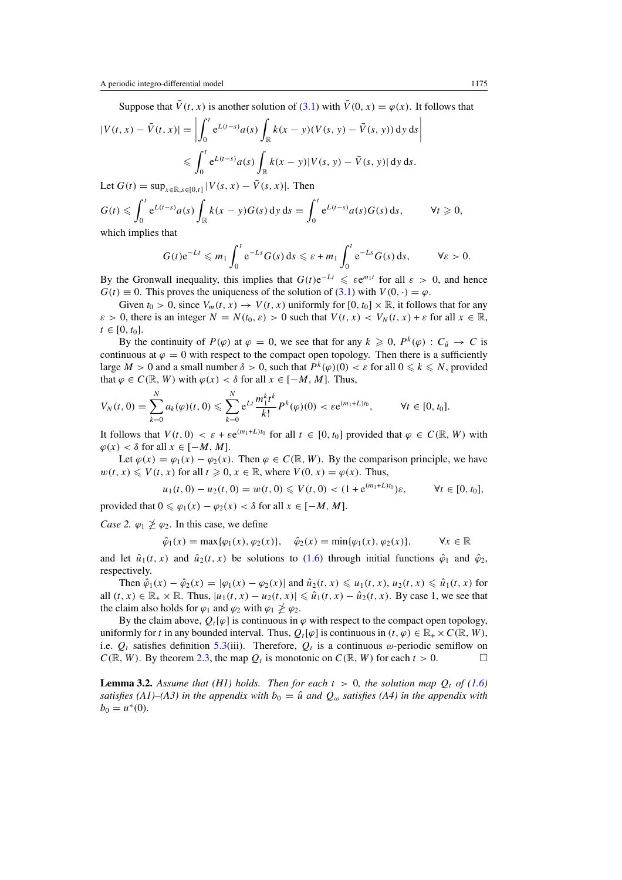Suppose that  $\bar{V}(t, x)$  is another solution of [\(3.1\)](#page-7-0) with  $\bar{V}(0, x) = \varphi(x)$ . It follows that

$$
|V(t, x) - \bar{V}(t, x)| = \left| \int_0^t e^{L(t-s)} a(s) \int_{\mathbb{R}} k(x - y)(V(s, y) - \bar{V}(s, y)) dy ds \right|
$$
  

$$
\leq \int_0^t e^{L(t-s)} a(s) \int_{\mathbb{R}} k(x - y) |V(s, y) - \bar{V}(s, y)| dy ds.
$$

Let 
$$
G(t) = \sup_{x \in \mathbb{R}, s \in [0,t]} |V(s, x) - \bar{V}(s, x)|
$$
. Then  
\n
$$
G(t) \le \int_0^t e^{L(t-s)} a(s) \int_{\mathbb{R}} k(x - y) G(s) \, dy \, ds = \int_0^t e^{L(t-s)} a(s) G(s) \, ds, \qquad \forall t \ge 0,
$$
\nwhich implies that

which implies that

$$
G(t)e^{-Lt} \leqslant m_1 \int_0^t e^{-Ls} G(s) \, ds \leqslant \varepsilon + m_1 \int_0^t e^{-Ls} G(s) \, ds, \qquad \forall \varepsilon > 0.
$$

By the Gronwall inequality, this implies that  $G(t)e^{-Lt} \leq \varepsilon e^{m_1 t}$  for all  $\varepsilon > 0$ , and hence  $G(t) \equiv 0$ . This proves the uniqueness of the solution of [\(3.1\)](#page-7-0) with  $V(0, \cdot) = \varphi$ .

Given  $t_0 > 0$ , since  $V_m(t, x) \to V(t, x)$  uniformly for  $[0, t_0] \times \mathbb{R}$ , it follows that for any *ε* > 0, there is an integer  $N = N(t_0, \varepsilon) > 0$  such that  $V(t, x) < V_N(t, x) + \varepsilon$  for all  $x \in \mathbb{R}$ ,  $t \in [0, t_0].$ 

By the continuity of  $P(\varphi)$  at  $\varphi = 0$ , we see that for any  $k \geq 0$ ,  $P^k(\varphi) : C_{\hat{u}} \to C$  is continuous at  $\varphi = 0$  with respect to the compact open topology. Then there is a sufficiently large  $M > 0$  and a small number  $\delta > 0$ , such that  $P^k(\varphi)(0) < \varepsilon$  for all  $0 \leq k \leq N$ , provided that  $\varphi \in C(\mathbb{R}, W)$  with  $\varphi(x) < \delta$  for all  $x \in [-M, M]$ . Thus,

$$
V_N(t,0)=\sum_{k=0}^N a_k(\varphi)(t,0)\leqslant \sum_{k=0}^N e^{Lt} \frac{m_1^kt^k}{k!} P^k(\varphi)(0)<\varepsilon e^{(m_1+L)t_0}, \qquad \forall t\in [0,t_0].
$$

It follows that  $V(t, 0) < \varepsilon + \varepsilon e^{(m_1 + L)t_0}$  for all  $t \in [0, t_0]$  provided that  $\varphi \in C(\mathbb{R}, W)$  with  $\varphi(x) < \delta$  for all  $x \in [-M, M]$ .

Let  $\varphi(x) = \varphi_1(x) - \varphi_2(x)$ . Then  $\varphi \in C(\mathbb{R}, W)$ . By the comparison principle, we have  $w(t, x) \leq V(t, x)$  for all  $t \geq 0, x \in \mathbb{R}$ , where  $V(0, x) = \varphi(x)$ . Thus,

$$
u_1(t, 0) - u_2(t, 0) = w(t, 0) \le V(t, 0) < (1 + e^{(m_1 + L)t_0})\varepsilon,
$$
  $\forall t \in [0, t_0],$ 

provided that  $0 \le \varphi_1(x) - \varphi_2(x) < \delta$  for all  $x \in [-M, M]$ .

*Case 2.*  $\varphi_1 \not\geq \varphi_2$ . In this case, we define

$$
\hat{\varphi}_1(x) = \max{\varphi_1(x), \varphi_2(x)}, \quad \hat{\varphi}_2(x) = \min{\varphi_1(x), \varphi_2(x)}, \qquad \forall x \in \mathbb{R}
$$

and let  $\hat{u}_1(t, x)$  and  $\hat{u}_2(t, x)$  be solutions to [\(1.6\)](#page-2-0) through initial functions  $\hat{\varphi}_1$  and  $\hat{\varphi}_2$ , respectively.

Then  $\hat{\varphi}_1(x) - \hat{\varphi}_2(x) = |\varphi_1(x) - \varphi_2(x)|$  and  $\hat{u}_2(t, x) \le u_1(t, x), u_2(t, x) \le \hat{u}_1(t, x)$  for all  $(t, x) \in \mathbb{R}_+ \times \mathbb{R}$ . Thus,  $|u_1(t, x) - u_2(t, x)| \leq \hat{u}_1(t, x) - \hat{u}_2(t, x)$ . By case 1, we see that the claim also holds for  $\varphi_1$  and  $\varphi_2$  with  $\varphi_1 \not\geq \varphi_2$ .

By the claim above,  $Q_t[\varphi]$  is continuous in  $\varphi$  with respect to the compact open topology, uniformly for *t* in any bounded interval. Thus,  $Q_t[\varphi]$  is continuous in  $(t, \varphi) \in \mathbb{R}_+ \times C(\mathbb{R}, W)$ , i.e.  $Q_t$  satisfies definition [5.3\(](#page-20-0)iii). Therefore,  $Q_t$  is a continuous  $\omega$ -periodic semiflow on  $C(\mathbb{R}, W)$ . By theorem [2.3,](#page-5-0) the map  $Q_t$  is monotonic on  $C(\mathbb{R}, W)$  for each  $t > 0$ .

**Lemma 3.2.** Assume that (H1) holds. Then for each  $t > 0$ , the solution map  $Q_t$  of [\(1.6\)](#page-2-0) *satisfies (A1)–(A3) in the appendix with*  $b_0 = \hat{u}$  *and*  $Q_\omega$  *satisfies (A4) in the appendix with*  $b_0 = u^*(0)$ *.*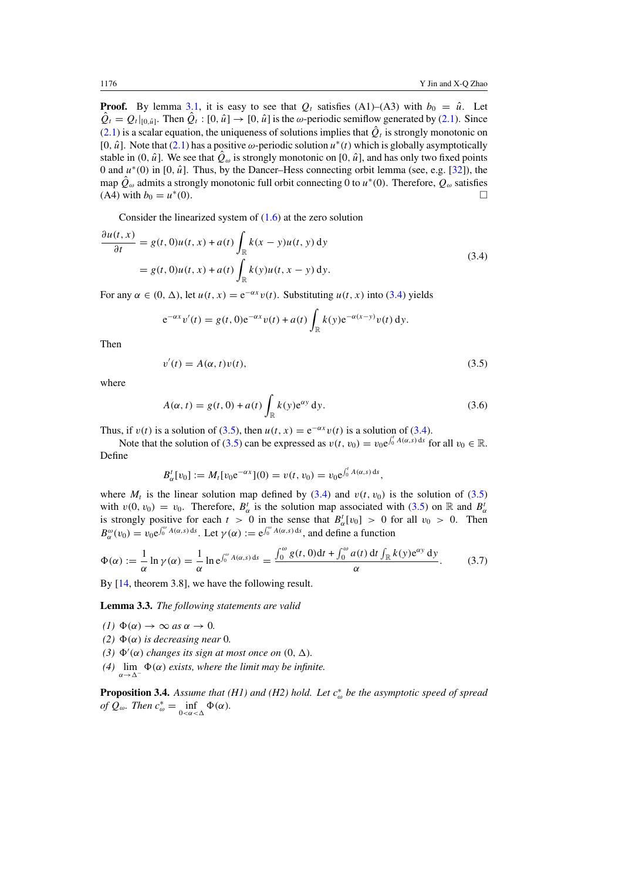<span id="page-9-0"></span>**Proof.** By lemma [3.1,](#page-6-0) it is easy to see that  $Q_t$  satisfies (A1)–(A3) with  $b_0 = \hat{u}$ . Let  $\hat{Q}_t = Q_t|_{[0,\hat{u}]}$ . Then  $\hat{Q}_t : [0,\hat{u}] \to [0,\hat{u}]$  is the *ω*-periodic semiflow generated by [\(2.1\)](#page-3-0). Since  $(2.1)$  is a scalar equation, the uniqueness of solutions implies that  $\hat{Q}_t$  is strongly monotonic on [0,  $\hat{u}$ ]. Note that [\(2.1\)](#page-3-0) has a positive  $\omega$ -periodic solution  $u^*(t)$  which is globally asymptotically stable in (0,  $\hat{u}$ ]. We see that  $\hat{Q}_\omega$  is strongly monotonic on [0,  $\hat{u}$ ], and has only two fixed points 0 and  $u^*(0)$  in [0,  $\hat{u}$ ]. Thus, by the Dancer–Hess connecting orbit lemma (see, e.g. [\[32\]](#page-22-0)), the map  $\hat{Q}_{\omega}$  admits a strongly monotonic full orbit connecting 0 to  $u^*(0)$ . Therefore,  $Q_{\omega}$  satisfies (A4) with  $b_0 = u^*(0)$ .

Consider the linearized system of [\(1.6\)](#page-2-0) at the zero solution

$$
\frac{\partial u(t, x)}{\partial t} = g(t, 0)u(t, x) + a(t) \int_{\mathbb{R}} k(x - y)u(t, y) dy
$$
  
=  $g(t, 0)u(t, x) + a(t) \int_{\mathbb{R}} k(y)u(t, x - y) dy.$  (3.4)

For any  $\alpha \in (0, \Delta)$ , let  $u(t, x) = e^{-\alpha x} v(t)$ . Substituting  $u(t, x)$  into (3.4) yields

$$
e^{-\alpha x}v'(t) = g(t, 0)e^{-\alpha x}v(t) + a(t)\int_{\mathbb{R}} k(y)e^{-\alpha(x-y)}v(t) dy.
$$

Then

$$
v'(t) = A(\alpha, t)v(t),
$$
\n(3.5)

where

$$
A(\alpha, t) = g(t, 0) + a(t) \int_{\mathbb{R}} k(y) e^{\alpha y} dy.
$$
 (3.6)

Thus, if  $v(t)$  is a solution of (3.5), then  $u(t, x) = e^{-\alpha x} v(t)$  is a solution of (3.4).

Note that the solution of (3.5) can be expressed as  $v(t, v_0) = v_0 e^{\int_0^t A(\alpha, s) ds}$  for all  $v_0 \in \mathbb{R}$ . Define

$$
B_{\alpha}^{t}[v_0] := M_t[v_0 e^{-\alpha x}](0) = v(t, v_0) = v_0 e^{\int_0^t A(\alpha, s) ds},
$$

where  $M_t$  is the linear solution map defined by (3.4) and  $v(t, v_0)$  is the solution of (3.5) with  $v(0, v_0) = v_0$ . Therefore,  $B^t_\alpha$  is the solution map associated with (3.5) on R and  $B^t_\alpha$ is strongly positive for each  $t > 0$  in the sense that  $B^t_\alpha[v_0] > 0$  for all  $v_0 > 0$ . Then  $B^{\omega}_{\alpha}(v_0) = v_0 e^{\int_0^{\omega} A(\alpha, s) ds}$ . Let  $\gamma(\alpha) := e^{\int_0^{\omega} A(\alpha, s) ds}$ , and define a function

$$
\Phi(\alpha) := \frac{1}{\alpha} \ln \gamma(\alpha) = \frac{1}{\alpha} \ln e^{\int_0^{\omega} A(\alpha, s) ds} = \frac{\int_0^{\omega} g(t, 0) dt + \int_0^{\omega} a(t) dt \int_{\mathbb{R}} k(y) e^{\alpha y} dy}{\alpha}.
$$
 (3.7)

By [\[14,](#page-21-0) theorem 3.8], we have the following result.

**Lemma 3.3.** *The following statements are valid*

- *(1)*  $\Phi(\alpha) \rightarrow \infty$  *as*  $\alpha \rightarrow 0$ .
- *(2)*  $Φ(α)$  *is decreasing near* 0*.*
- (3)  $\Phi'(\alpha)$  *changes its sign at most once on*  $(0, \Delta)$ *.*
- (4)  $\lim_{\alpha \to \Delta^-}$  Φ(α) exists, where the limit may be infinite.

**Proposition 3.4.** *Assume that (H1) and (H2) hold. Let c*<sup>∗</sup> *<sup>ω</sup> be the asymptotic speed of spread of*  $Q_{\omega}$ *. Then*  $c_{\omega}^* = \inf_{0 < \alpha < \Delta} \Phi(\alpha)$ *.*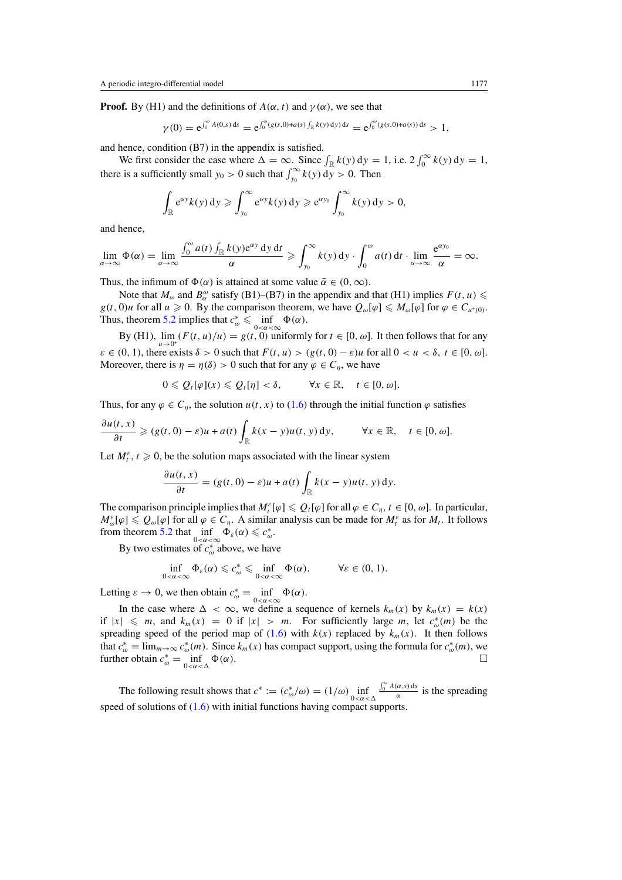**Proof.** By (H1) and the definitions of  $A(\alpha, t)$  and  $\gamma(\alpha)$ , we see that

$$
\gamma(0) = e^{\int_0^{\omega} A(0,s) ds} = e^{\int_0^{\omega} (g(s,0) + a(s) \int_{\mathbb{R}} k(y) dy) ds} = e^{\int_0^{\omega} (g(s,0) + a(s)) ds} > 1,
$$

and hence, condition (B7) in the appendix is satisfied.

We first consider the case where  $\Delta = \infty$ . Since  $\int_{\mathbb{R}} k(y) dy = 1$ , i.e.  $2 \int_0^{\infty} k(y) dy = 1$ , there is a sufficiently small  $y_0 > 0$  such that  $\int_{y_0}^{\infty} k(y) dy > 0$ . Then

$$
\int_{\mathbb{R}} e^{\alpha y} k(y) dy \geqslant \int_{y_0}^{\infty} e^{\alpha y} k(y) dy \geqslant e^{\alpha y_0} \int_{y_0}^{\infty} k(y) dy > 0,
$$

and hence,

$$
\lim_{\alpha \to \infty} \Phi(\alpha) = \lim_{\alpha \to \infty} \frac{\int_0^{\omega} a(t) \int_{\mathbb{R}} k(y) e^{\alpha y} dy dt}{\alpha} \geqslant \int_{y_0}^{\infty} k(y) dy \cdot \int_0^{\omega} a(t) dt \cdot \lim_{\alpha \to \infty} \frac{e^{\alpha y_0}}{\alpha} = \infty.
$$

Thus, the infimum of  $\Phi(\alpha)$  is attained at some value  $\bar{\alpha} \in (0, \infty)$ .

Note that  $M_{\omega}$  and  $B_{\alpha}^{\omega}$  satisfy (B1)–(B7) in the appendix and that (H1) implies  $F(t, u) \leq$  $g(t, 0)u$  for all  $u \ge 0$ . By the comparison theorem, we have  $Q_{\omega}[\varphi] \le M_{\omega}[\varphi]$  for  $\varphi \in C_{u^*(0)}$ . Thus, theorem [5.2](#page-19-0) implies that  $c_{\omega}^* \le \inf_{0 < \alpha < \infty} \Phi(\alpha)$ .

By (H1),  $\lim_{u\to 0^+} (F(t, u)/u) = g(t, 0)$  uniformly for  $t \in [0, \omega]$ . It then follows that for any  $\varepsilon \in (0, 1)$ , there exists  $\delta > 0$  such that  $F(t, u) > (g(t, 0) - \varepsilon)u$  for all  $0 < u < \delta, t \in [0, \omega]$ . Moreover, there is  $\eta = \eta(\delta) > 0$  such that for any  $\varphi \in C_\eta$ , we have

$$
0 \leqslant Q_t[\varphi](x) \leqslant Q_t[\eta] < \delta, \qquad \forall x \in \mathbb{R}, \quad t \in [0, \omega].
$$

Thus, for any  $\varphi \in C_n$ , the solution  $u(t, x)$  to [\(1.6\)](#page-2-0) through the initial function  $\varphi$  satisfies

$$
\frac{\partial u(t,x)}{\partial t} \geqslant (g(t,0)-\varepsilon)u + a(t)\int_{\mathbb{R}} k(x-y)u(t,y) \,dy, \qquad \forall x \in \mathbb{R}, \quad t \in [0,\omega].
$$

Let  $M_t^{\varepsilon}$ ,  $t \ge 0$ , be the solution maps associated with the linear system

$$
\frac{\partial u(t,x)}{\partial t} = (g(t,0) - \varepsilon)u + a(t) \int_{\mathbb{R}} k(x-y)u(t,y) \,dy.
$$

The comparison principle implies that  $M_t^{\varepsilon}[\varphi] \leq Q_t[\varphi]$  for all  $\varphi \in C_\eta$ ,  $t \in [0, \omega]$ . In particular,  $M_{\omega}^{\varepsilon}[\varphi] \leq Q_{\omega}[\varphi]$  for all  $\varphi \in C_{\eta}$ . A similar analysis can be made for  $M_t^{\varepsilon}$  as for  $M_t$ . It follows from theorem [5.2](#page-19-0) that  $\inf_{0 < \alpha < \infty} \Phi_{\varepsilon}(\alpha) \leq c_{\omega}^*$ .

By two estimates of *c*<sup>∗</sup> *<sup>ω</sup>* above, we have

$$
\inf_{0<\alpha<\infty}\Phi_{\varepsilon}(\alpha)\leqslant c_{\omega}^*\leqslant \inf_{0<\alpha<\infty}\Phi(\alpha),\qquad \forall \varepsilon\in(0,1).
$$

Letting  $\varepsilon \to 0$ , we then obtain  $c_{\omega}^* = \inf_{0 < \alpha < \infty} \Phi(\alpha)$ .

In the case where  $\Delta < \infty$ , we define a sequence of kernels  $k_m(x)$  by  $k_m(x) = k(x)$ if  $|x| \le m$ , and  $k_m(x) = 0$  if  $|x| > m$ . For sufficiently large *m*, let  $c^*_{\omega}(m)$  be the spreading speed of the period map of  $(1.6)$  with  $k(x)$  replaced by  $k_m(x)$ . It then follows that  $c_{\omega}^* = \lim_{m \to \infty} c_{\omega}^*(m)$ . Since  $k_m(x)$  has compact support, using the formula for  $c_{\omega}^*(m)$ , we further obtain  $c_{\omega}^* = \inf_{0 < \alpha < \Delta}$  $\Phi(\alpha)$ .

The following result shows that  $c^* := (c^*_{\omega}/\omega) = (1/\omega) \inf_{0 < \alpha < \Delta}$  $\frac{\int_0^{\omega} A(\alpha, s) ds}{\alpha}$  is the spreading speed of solutions of  $(1.6)$  with initial functions having compact supports.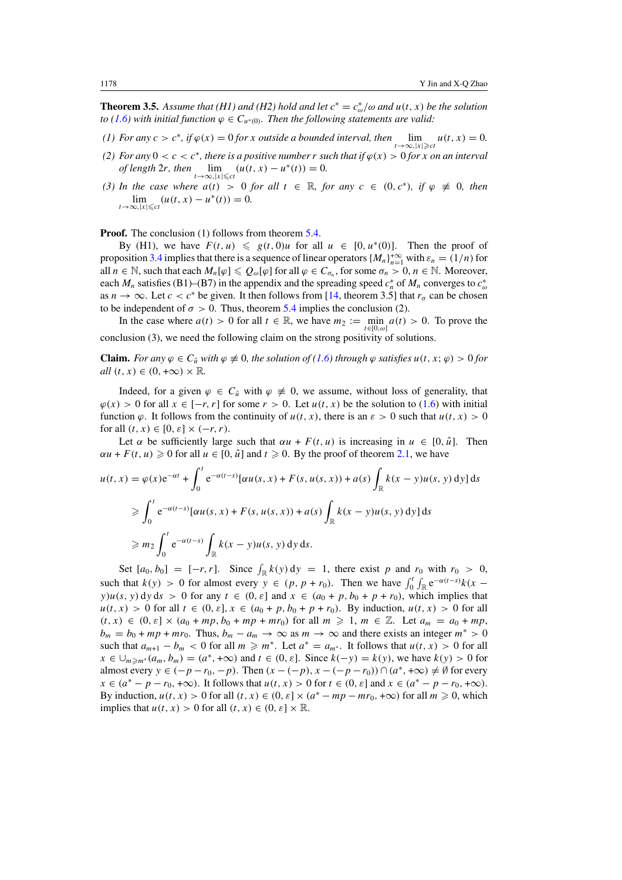<span id="page-11-0"></span>**Theorem 3.5.** Assume that (H1) and (H2) hold and let  $c^* = c^*_{\omega}/\omega$  and  $u(t, x)$  be the solution *to* [\(1.6\)](#page-2-0) with initial function  $\varphi \in C_{u^*(0)}$ . Then the following statements are valid:

- *(1) For any*  $c > c^*$ *, if*  $\varphi(x) = 0$  *for x outside a bounded interval, then*  $\lim_{t \to \infty, |x| \ge c^t} u(t, x) = 0$ *.*
- *(2) For any*  $0 < c < c^*$ *, there is a positive number r such that if*  $\varphi(x) > 0$  *for x on an interval of length*  $2r$ *, then*  $\lim_{t \to \infty, |x| \le c} (u(t, x) - u^*(t)) = 0.$
- *(3) In the case where*  $a(t) > 0$  *for all*  $t \in \mathbb{R}$ *, for any*  $c \in (0, c^*)$ *, if*  $\varphi \neq 0$ *, then*  $\lim_{t \to \infty, |x| \leq c} (u(t, x) - u^*(t)) = 0.$

**Proof.** The conclusion (1) follows from theorem [5.4.](#page-20-0)

By (H1), we have  $F(t, u) \leq g(t, 0)u$  for all  $u \in [0, u^*(0)]$ . Then the proof of proposition [3.4](#page-9-0) implies that there is a sequence of linear operators  ${M_n}_{n=1}^{+\infty}$  with  $\varepsilon_n = (1/n)$  for all  $n \in \mathbb{N}$ , such that each  $M_n[\varphi] \leq \varrho_\omega[\varphi]$  for all  $\varphi \in C_{\sigma_n}$ , for some  $\sigma_n > 0$ ,  $n \in \mathbb{N}$ . Moreover, each  $M_n$  satisfies (B1)–(B7) in the appendix and the spreading speed  $c_n^*$  of  $M_n$  converges to  $c_{\omega}^*$ as  $n \to \infty$ . Let  $c < c^*$  be given. It then follows from [\[14,](#page-21-0) theorem 3.5] that  $r_\sigma$  can be chosen to be independent of  $\sigma > 0$ . Thus, theorem [5.4](#page-20-0) implies the conclusion (2).

In the case where  $a(t) > 0$  for all  $t \in \mathbb{R}$ , we have  $m_2 := \min_{t \in [0,\omega]} a(t) > 0$ . To prove the conclusion (3), we need the following claim on the strong positivity of solutions.

**Claim.** *For any*  $\varphi \in C_{\hat{u}}$  *with*  $\varphi \neq 0$ *, the solution of* [\(1.6\)](#page-2-0) *through*  $\varphi$  *satisfies*  $u(t, x; \varphi) > 0$  *for*  $all(t, x) \in (0, +\infty) \times \mathbb{R}$ .

Indeed, for a given  $\varphi \in C_{\hat{u}}$  with  $\varphi \neq 0$ , we assume, without loss of generality, that  $\varphi(x) > 0$  for all  $x \in [-r, r]$  for some  $r > 0$ . Let  $u(t, x)$  be the solution to [\(1.6\)](#page-2-0) with initial function  $\varphi$ . It follows from the continuity of  $u(t, x)$ , there is an  $\varepsilon > 0$  such that  $u(t, x) > 0$ for all  $(t, x) \in [0, \varepsilon] \times (-r, r)$ .

Let  $\alpha$  be sufficiently large such that  $\alpha u + F(t, u)$  is increasing in  $u \in [0, \hat{u}]$ . Then  $\alpha u + F(t, u) \ge 0$  for all  $u \in [0, \hat{u}]$  and  $t \ge 0$ . By the proof of theorem [2.1,](#page-4-0) we have

$$
u(t, x) = \varphi(x)e^{-\alpha t} + \int_0^t e^{-\alpha(t-s)}[\alpha u(s, x) + F(s, u(s, x)) + a(s)\int_{\mathbb{R}} k(x - y)u(s, y) dy] ds
$$
  
\n
$$
\geq \int_0^t e^{-\alpha(t-s)}[\alpha u(s, x) + F(s, u(s, x)) + a(s)\int_{\mathbb{R}} k(x - y)u(s, y) dy] ds
$$
  
\n
$$
\geq m_2 \int_0^t e^{-\alpha(t-s)}\int_{\mathbb{R}} k(x - y)u(s, y) dy ds.
$$

Set  $[a_0, b_0] = [-r, r]$ . Since  $\int_{\mathbb{R}} k(y) dy = 1$ , there exist *p* and  $r_0$  with  $r_0 > 0$ , such that  $k(y) > 0$  for almost every  $y \in (p, p + r_0)$ . Then we have  $\int_0^t$ <sup>2</sup><sup>t</sup> ∫<sub>ℝ</sub> e<sup>-α(t-*s*)</sup> $k(x$ *y*)*u*(*s*, *y*) d*y* d*s* > 0 for any  $t \in (0, \varepsilon]$  and  $x \in (a_0 + p, b_0 + p + r_0)$ , which implies that  $u(t, x) > 0$  for all  $t \in (0, \varepsilon], x \in (a_0 + p, b_0 + p + r_0)$ . By induction,  $u(t, x) > 0$  for all  $(t, x) \in (0, \varepsilon] \times (a_0 + mp, b_0 + mp + mr_0)$  for all  $m \ge 1, m \in \mathbb{Z}$ . Let  $a_m = a_0 + mp$ ,  $b_m = b_0 + mp + mr_0$ . Thus,  $b_m - a_m \rightarrow \infty$  as  $m \rightarrow \infty$  and there exists an integer  $m^* > 0$ such that  $a_{m+1} - b_m < 0$  for all  $m \ge m^*$ . Let  $a^* = a_{m^*}$ . It follows that  $u(t, x) > 0$  for all *x* ∈ ∪<sub>*m* $\geq$ *m*<sup>\*</sup>(*a<sub>m</sub>*, *b<sub>m</sub>*) = (*a*<sup>\*</sup>, +∞) and *t* ∈ (0, *ε*]. Since *k*(−*y*) = *k*(*y*), we have *k*(*y*) > 0 for</sub> almost every  $y \in (-p - r_0, -p)$ . Then  $(x - (-p), x - (-p - r_0)) \cap (a^*, +\infty) \neq \emptyset$  for every *x* ∈  $(a^* - p - r_0, +∞)$ . It follows that  $u(t, x) > 0$  for  $t \in (0, \varepsilon]$  and  $x \in (a^* - p - r_0, +∞)$ . By induction,  $u(t, x) > 0$  for all  $(t, x) \in (0, \varepsilon] \times (a^* - mp - mr_0, +\infty)$  for all  $m \ge 0$ , which implies that  $u(t, x) > 0$  for all  $(t, x) \in (0, \varepsilon] \times \mathbb{R}$ .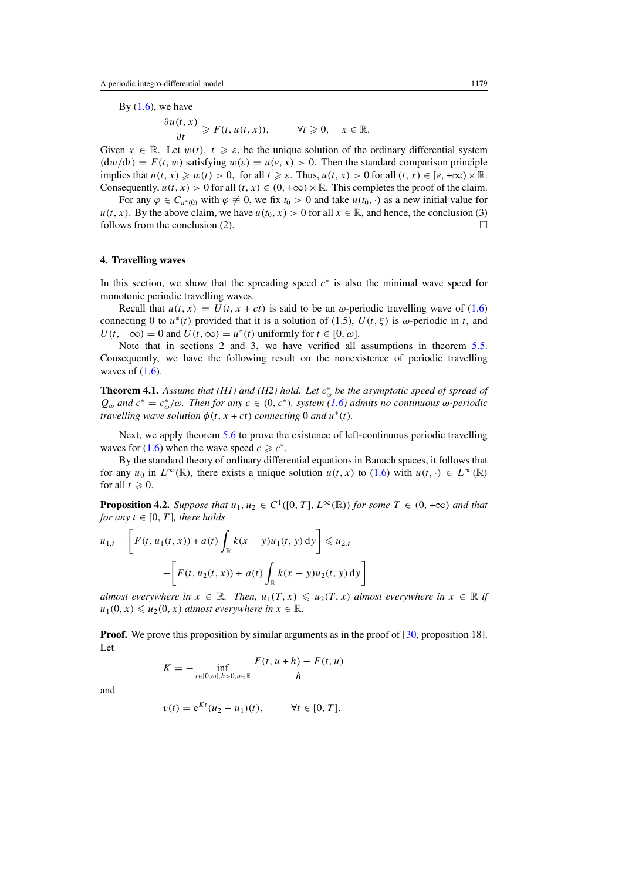<span id="page-12-0"></span>By  $(1.6)$ , we have

$$
\frac{\partial u(t,x)}{\partial t}\geq F(t,u(t,x)),\qquad \forall t\geq 0,\quad x\in\mathbb{R}.
$$

Given  $x \in \mathbb{R}$ . Let  $w(t)$ ,  $t \geq \varepsilon$ , be the unique solution of the ordinary differential system  $($ d*w* $/dt$  $) = F(t, w)$  satisfying  $w(\varepsilon) = u(\varepsilon, x) > 0$ . Then the standard comparison principle implies that  $u(t, x) \geq w(t) > 0$ , for all  $t \geq \varepsilon$ . Thus,  $u(t, x) > 0$  for all  $(t, x) \in [\varepsilon, +\infty) \times \mathbb{R}$ . Consequently,  $u(t, x) > 0$  for all  $(t, x) \in (0, +\infty) \times \mathbb{R}$ . This completes the proof of the claim.

For any  $\varphi \in C_{u^*(0)}$  with  $\varphi \neq 0$ , we fix  $t_0 > 0$  and take  $u(t_0, \cdot)$  as a new initial value for  $u(t, x)$ . By the above claim, we have  $u(t_0, x) > 0$  for all  $x \in \mathbb{R}$ , and hence, the conclusion (3) follows from the conclusion (2).  $\Box$ 

#### **4. Travelling waves**

In this section, we show that the spreading speed *c*<sup>∗</sup> is also the minimal wave speed for monotonic periodic travelling waves.

Recall that  $u(t, x) = U(t, x + ct)$  is said to be an *ω*-periodic travelling wave of [\(1.6\)](#page-2-0) connecting 0 to  $u^*(t)$  provided that it is a solution of (1.5),  $U(t, \xi)$  is  $\omega$ -periodic in *t*, and  $U(t, -\infty) = 0$  and  $U(t, \infty) = u^*(t)$  uniformly for  $t \in [0, \omega]$ .

Note that in sections 2 and 3, we have verified all assumptions in theorem [5.5.](#page-20-0) Consequently, we have the following result on the nonexistence of periodic travelling waves of  $(1.6)$ .

**Theorem 4.1.** *Assume that (H1) and (H2) hold. Let c*<sup>∗</sup> *<sup>ω</sup> be the asymptotic speed of spread of*  $Q<sub>ω</sub>$  *and*  $c<sup>*</sup> = c<sup>*</sup><sub>ω</sub>/ω$ *. Then for any*  $c ∈ (0, c<sup>*</sup>)$ *, system* [\(1.6\)](#page-2-0) *admits no continuous*  $ω$ -*periodic travelling wave solution*  $\phi(t, x + ct)$  *connecting* 0 *and*  $u^*(t)$ *.* 

Next, we apply theorem [5.6](#page-20-0) to prove the existence of left-continuous periodic travelling waves for [\(1.6\)](#page-2-0) when the wave speed  $c \geq c^*$ .

By the standard theory of ordinary differential equations in Banach spaces, it follows that for any  $u_0$  in  $L^\infty(\mathbb{R})$ , there exists a unique solution  $u(t, x)$  to [\(1.6\)](#page-2-0) with  $u(t, \cdot) \in L^\infty(\mathbb{R})$ for all  $t \geq 0$ .

**Proposition 4.2.** *Suppose that*  $u_1, u_2 \in C^1([0, T], L^\infty(\mathbb{R}))$  *for some*  $T \in (0, +\infty)$  *and that for any*  $t \in [0, T]$ *, there holds* 

$$
u_{1,t} - \left[ F(t, u_1(t, x)) + a(t) \int_{\mathbb{R}} k(x - y)u_1(t, y) dy \right] \le u_{2,t}
$$

$$
- \left[ F(t, u_2(t, x)) + a(t) \int_{\mathbb{R}} k(x - y)u_2(t, y) dy \right]
$$

*almost everywhere in*  $x \in \mathbb{R}$ *. Then,*  $u_1(T, x) \leq u_2(T, x)$  *almost everywhere in*  $x \in \mathbb{R}$  *if*  $u_1(0, x) \leq u_2(0, x)$  *almost everywhere in*  $x \in \mathbb{R}$ *.* 

**Proof.** We prove this proposition by similar arguments as in the proof of [\[30,](#page-22-0) proposition 18]. Let

$$
K = - \inf_{t \in [0, \omega], h > 0, u \in \mathbb{R}} \frac{F(t, u + h) - F(t, u)}{h}
$$

and

$$
v(t) = e^{Kt} (u_2 - u_1)(t), \qquad \forall t \in [0, T].
$$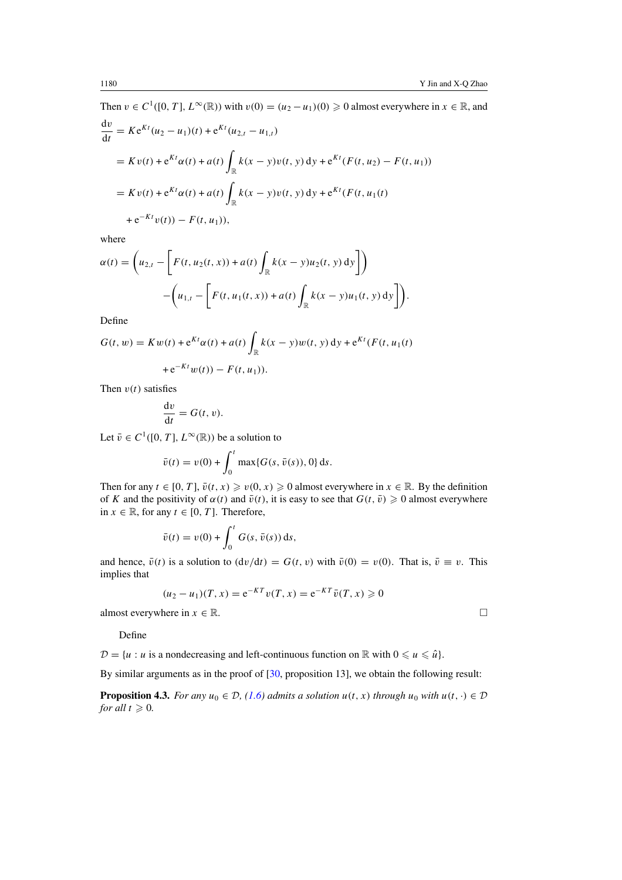<span id="page-13-0"></span>Then  $v \in C^1([0, T], L^\infty(\mathbb{R}))$  with  $v(0) = (u_2 - u_1)(0) \ge 0$  almost everywhere in  $x \in \mathbb{R}$ , and  $\frac{dv}{dt} = Ke^{Kt}(u_2 - u_1)(t) + e^{Kt}(u_{2,t} - u_{1,t})$  $= Kv(t) + e^{Kt}\alpha(t) + a(t) \int_{\mathbb{R}} k(x - y)v(t, y) dy + e^{Kt}(F(t, u_2) - F(t, u_1))$  $= Kv(t) + e^{Kt}\alpha(t) + a(t) \int_{\mathbb{R}} k(x - y)v(t, y) dy + e^{Kt}(F(t, u_1(t)))$  $+ e^{-Kt}v(t) - F(t, u_1)$ ,

where

$$
\alpha(t) = \left( u_{2,t} - \left[ F(t, u_2(t, x)) + a(t) \int_{\mathbb{R}} k(x - y) u_2(t, y) dy \right] \right) - \left( u_{1,t} - \left[ F(t, u_1(t, x)) + a(t) \int_{\mathbb{R}} k(x - y) u_1(t, y) dy \right] \right).
$$

Define

$$
G(t, w) = Kw(t) + e^{Kt} \alpha(t) + a(t) \int_{\mathbb{R}} k(x - y) w(t, y) dy + e^{Kt} (F(t, u_1(t)) + e^{-Kt} w(t)) - F(t, u_1)).
$$

Then  $v(t)$  satisfies

$$
\frac{\mathrm{d}v}{\mathrm{d}t} = G(t, v).
$$

Let  $\bar{v} \in C^1([0, T], L^\infty(\mathbb{R}))$  be a solution to

$$
\bar{v}(t) = v(0) + \int_0^t \max\{G(s, \bar{v}(s)), 0\} ds.
$$

Then for any  $t \in [0, T]$ ,  $\bar{v}(t, x) \geq v(0, x) \geq 0$  almost everywhere in  $x \in \mathbb{R}$ . By the definition of *K* and the positivity of  $\alpha(t)$  and  $\bar{v}(t)$ , it is easy to see that  $G(t, \bar{v}) \geq 0$  almost everywhere in *x* ∈ ℝ, for any *t* ∈ [0, *T*]. Therefore,

$$
\bar{v}(t) = v(0) + \int_0^t G(s, \bar{v}(s)) \, \mathrm{d}s,
$$

and hence,  $\bar{v}(t)$  is a solution to  $(\frac{dv}{dt}) = G(t, v)$  with  $\bar{v}(0) = v(0)$ . That is,  $\bar{v} \equiv v$ . This implies that

$$
(u_2 - u_1)(T, x) = e^{-KT}v(T, x) = e^{-KT}\bar{v}(T, x) \ge 0
$$

almost everywhere in  $x \in \mathbb{R}$ .

Define

 $\mathcal{D} = \{u : u \text{ is a nondecreasing and left-continuous function on } \mathbb{R} \text{ with } 0 \leq u \leq \hat{u}\}.$ 

By similar arguments as in the proof of [\[30,](#page-22-0) proposition 13], we obtain the following result:

**Proposition 4.3.** *For any*  $u_0 \in \mathcal{D}$ , [\(1.6\)](#page-2-0) *admits a solution*  $u(t, x)$  *through*  $u_0$  *with*  $u(t, \cdot) \in \mathcal{D}$ *for all*  $t \ge 0$ *.*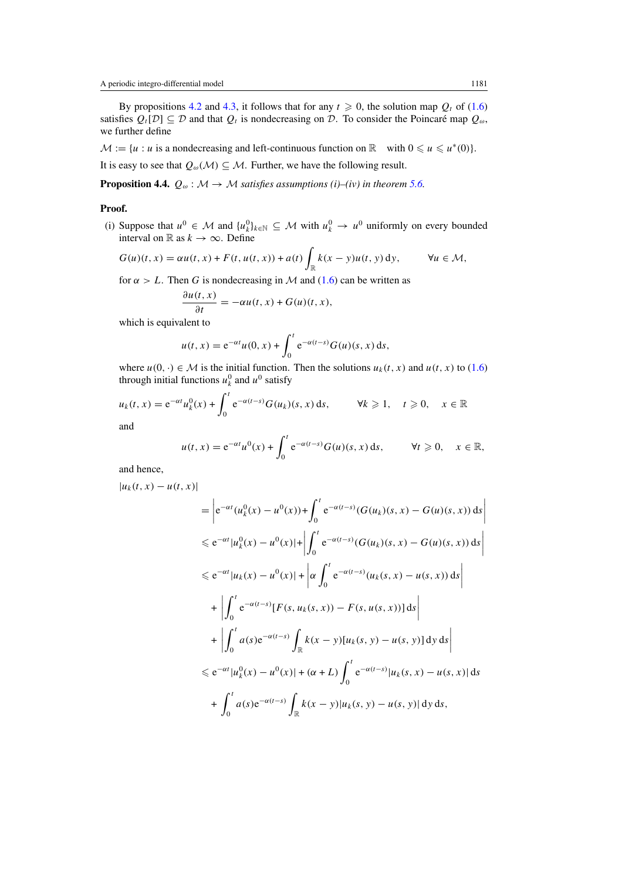<span id="page-14-0"></span>By propositions [4.2](#page-12-0) and [4.3,](#page-13-0) it follows that for any  $t \ge 0$ , the solution map  $Q_t$  of [\(1.6\)](#page-2-0) satisfies  $Q_t[D] \subseteq \mathcal{D}$  and that  $Q_t$  is nondecreasing on  $\mathcal{D}$ . To consider the Poincaré map  $Q_\omega$ , we further define

 $M := \{u : u \text{ is a nondecreasing and left-continuous function on } \mathbb{R} \text{ with } 0 \leq u \leq u^*(0) \}.$ 

It is easy to see that  $Q_{\omega}(\mathcal{M}) \subseteq \mathcal{M}$ . Further, we have the following result.

**Proposition 4.4.**  $Q_{\omega}$ :  $M \rightarrow M$  *satisfies assumptions (i)–(iv) in theorem* [5.6.](#page-20-0)

# **Proof.**

(i) Suppose that  $u^0$  ∈ M and  $\{u^0_k\}_{k\in\mathbb{N}}$  ⊆ M with  $u^0_k$  →  $u^0$  uniformly on every bounded interval on  $\mathbb R$  as  $k \to \infty$ . Define

$$
G(u)(t,x) = \alpha u(t,x) + F(t, u(t,x)) + a(t) \int_{\mathbb{R}} k(x-y)u(t,y) \,dy, \qquad \forall u \in \mathcal{M},
$$

for  $\alpha > L$ . Then *G* is nondecreasing in *M* and [\(1.6\)](#page-2-0) can be written as

$$
\frac{\partial u(t,x)}{\partial t} = -\alpha u(t,x) + G(u)(t,x),
$$

which is equivalent to

$$
u(t,x) = e^{-\alpha t}u(0,x) + \int_0^t e^{-\alpha(t-s)}G(u)(s,x) ds,
$$

where  $u(0, \cdot) \in \mathcal{M}$  is the initial function. Then the solutions  $u_k(t, x)$  and  $u(t, x)$  to [\(1.6\)](#page-2-0) through initial functions  $u_k^0$  and  $u^0$  satisfy

$$
u_k(t, x) = e^{-\alpha t} u_k^0(x) + \int_0^t e^{-\alpha(t-s)} G(u_k)(s, x) ds, \qquad \forall k \ge 1, \quad t \ge 0, \quad x \in \mathbb{R}
$$
  
and

$$
u(t,x) = e^{-\alpha t}u^0(x) + \int_0^t e^{-\alpha(t-s)}G(u)(s,x) ds, \qquad \forall t \geq 0,
$$

and hence,

$$
|u_k(t, x) - u(t, x)|
$$
  
\n
$$
= \left| e^{-\alpha t} (u_k^0(x) - u^0(x)) + \int_0^t e^{-\alpha(t-s)} (G(u_k)(s, x) - G(u)(s, x)) ds \right|
$$
  
\n
$$
\leq e^{-\alpha t} |u_k^0(x) - u^0(x)| + \left| \int_0^t e^{-\alpha(t-s)} (G(u_k)(s, x) - G(u)(s, x)) ds \right|
$$
  
\n
$$
\leq e^{-\alpha t} |u_k(x) - u^0(x)| + \left| \alpha \int_0^t e^{-\alpha(t-s)} (u_k(s, x) - u(s, x)) ds \right|
$$
  
\n
$$
+ \left| \int_0^t e^{-\alpha(t-s)} [F(s, u_k(s, x)) - F(s, u(s, x))] ds \right|
$$
  
\n
$$
+ \left| \int_0^t a(s) e^{-\alpha(t-s)} \int_{\mathbb{R}} k(x - y) [u_k(s, y) - u(s, y)] dy ds \right|
$$
  
\n
$$
\leq e^{-\alpha t} |u_k^0(x) - u^0(x)| + (\alpha + L) \int_0^t e^{-\alpha(t-s)} |u_k(s, x) - u(s, x)| ds
$$
  
\n
$$
+ \int_0^t a(s) e^{-\alpha(t-s)} \int_{\mathbb{R}} k(x - y) |u_k(s, y) - u(s, y)| dy ds,
$$

 $x \in \mathbb{R},$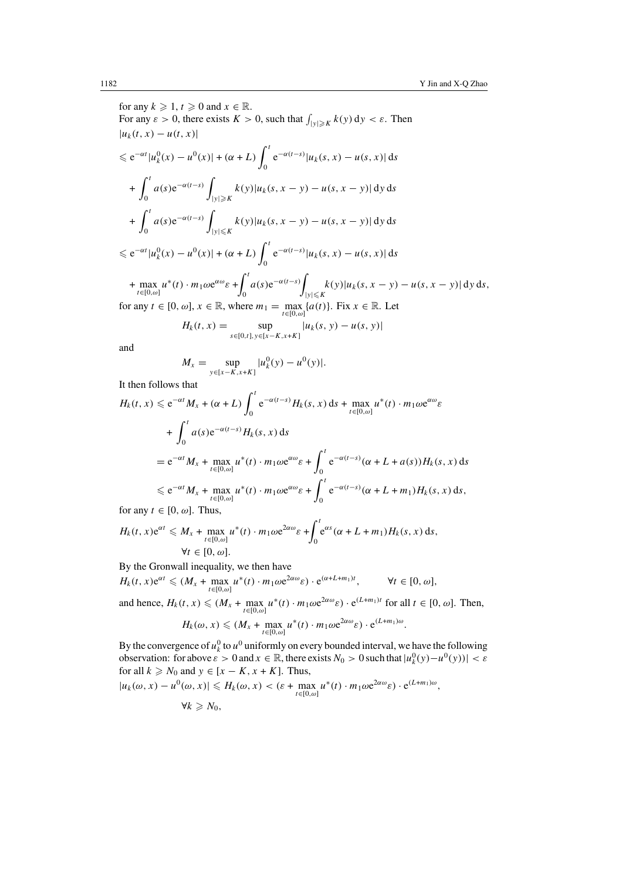for any  $k \geqslant 1$ ,  $t \geqslant 0$  and  $x \in \mathbb{R}$ . For any  $\varepsilon > 0$ , there exists  $K > 0$ , such that  $\int_{|y| \geq K} k(y) dy < \varepsilon$ . Then  $|u_k(t, x) - u(t, x)|$  $\leq e^{-\alpha t} |u_k^0(x) - u^0(x)| + (\alpha + L) \int_0^t$  $\int_{0}^{\infty} e^{-\alpha(t-s)} |u_{k}(s, x) - u(s, x)| ds$ +  $\int_0^t$ 0  $a(s)e^{-\alpha(t-s)}$ |*y*|*K*  $k(y)|u_k(s, x - y) - u(s, x - y)|$  dy ds +  $\int_0^t$ 0  $a(s)e^{-\alpha(t-s)}$  $|y| \leq K$  *k*(*y*)|*u<sub>k</sub>*(*s*, *x* − *y*) − *u*(*s*, *x* − *y*)| d*y* d*s*  $\leq e^{-\alpha t} |u_k^0(x) - u^0(x)| + (\alpha + L) \int_0^t$  $\int_{0}^{\infty} e^{-\alpha(t-s)} |u_{k}(s, x) - u(s, x)| ds$ + max  $u^*(t) \cdot m_1 \omega e^{\alpha \omega} \varepsilon + \int_0^t$ 0  $a(s)e^{-\alpha(t-s)}$  $|y| \leq K$ <br> $|y| \leq K$ <br>*k*(y)|*u<sub>k</sub>*(*s*, *x* – *y*) – *u*(*s*, *x* – *y*)| d*y* d*s*, for any  $t \in [0, \omega]$ ,  $x \in \mathbb{R}$ , where  $m_1 = \max_{t \in [0, \omega]} \{a(t)\}\)$ . Fix  $x \in \mathbb{R}$ . Let  $H_k(t, x) = \sup_{s \in [0, t], y \in [x - K, x + K]} |u_k(s, y) - u(s, y)|$ 

and

$$
M_x = \sup_{y \in [x - K, x + K]} |u_k^0(y) - u^0(y)|.
$$

It then follows that

$$
H_k(t, x) \leq e^{-\alpha t} M_x + (\alpha + L) \int_0^t e^{-\alpha(t-s)} H_k(s, x) ds + \max_{t \in [0, \omega]} u^*(t) \cdot m_1 \omega e^{\alpha \omega} \varepsilon
$$
  
+ 
$$
\int_0^t a(s) e^{-\alpha(t-s)} H_k(s, x) ds
$$
  
= 
$$
e^{-\alpha t} M_x + \max_{t \in [0, \omega]} u^*(t) \cdot m_1 \omega e^{\alpha \omega} \varepsilon + \int_0^t e^{-\alpha(t-s)} (\alpha + L + a(s)) H_k(s, x) ds
$$
  

$$
\leq e^{-\alpha t} M_x + \max_{t \in [0, \omega]} u^*(t) \cdot m_1 \omega e^{\alpha \omega} \varepsilon + \int_0^t e^{-\alpha(t-s)} (\alpha + L + m_1) H_k(s, x) ds,
$$

for any  $t \in [0, \omega]$ . Thus,

$$
H_k(t, x)e^{\alpha t} \leq M_x + \max_{t \in [0, \omega]} u^*(t) \cdot m_1 \omega e^{2\alpha \omega} \varepsilon + \int_0^t e^{\alpha s} (\alpha + L + m_1) H_k(s, x) ds,
$$
  

$$
\forall t \in [0, \omega].
$$

By the Gronwall inequality, we then have

$$
H_k(t, x) e^{\alpha t} \leq (M_x + \max_{t \in [0, \omega]} u^*(t) \cdot m_1 \omega e^{2\alpha \omega} \varepsilon) \cdot e^{(\alpha + L + m_1)t}, \qquad \forall t \in [0, \omega],
$$
  
and hence,  $H_k(t, x) \leq (M_x + \max_{t \in [0, \omega]} u^*(t) \cdot m_1 \omega e^{2\alpha \omega} \varepsilon) \cdot e^{(L + m_1)t}$  for all  $t \in [0, \omega]$ . Then,  
 $H_k(\omega, x) \leq (M_x + \max_{t \in [0, \omega]} u^*(t) \cdot m_1 \omega e^{2\alpha \omega} \varepsilon) \cdot e^{(L + m_1)\omega}.$ 

By the convergence of  $u_k^0$  to  $u^0$  uniformly on every bounded interval, we have the following observation: for above  $\varepsilon > 0$  and  $x \in \mathbb{R}$ , there exists  $N_0 > 0$  such that  $|u_k^0(y) - u^0(y)| < \varepsilon$ for all  $k \ge N_0$  and  $y \in [x - K, x + K]$ . Thus,

$$
|u_k(\omega, x) - u^0(\omega, x)| \le H_k(\omega, x) < (\varepsilon + \max_{t \in [0, \omega]} u^*(t) \cdot m_1 \omega e^{2\alpha \omega} \varepsilon) \cdot e^{(L+m_1)\omega},
$$
\n
$$
\forall k \ge N_0,
$$

$$
\forall k \geqslant N_0
$$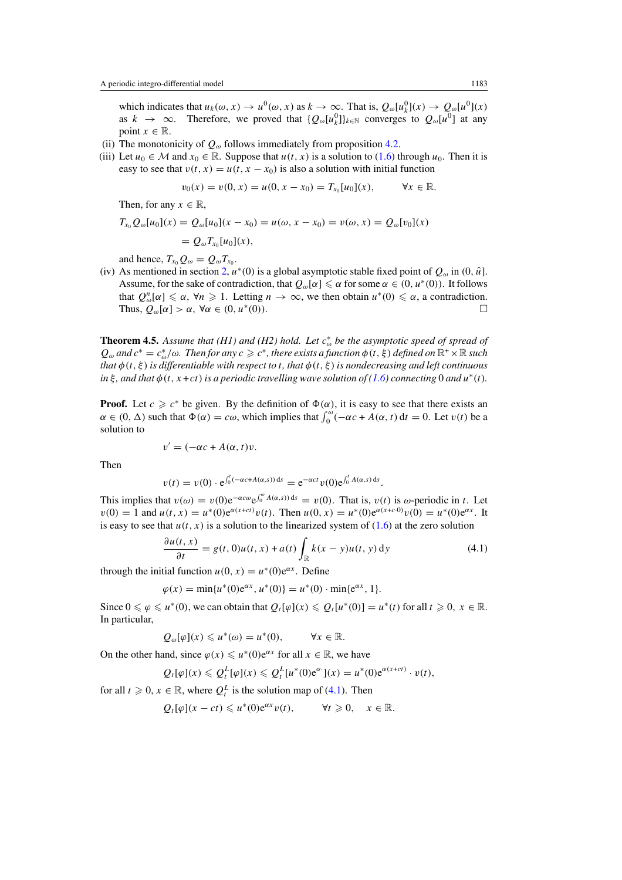<span id="page-16-0"></span>which indicates that  $u_k(\omega, x) \to u^0(\omega, x)$  as  $k \to \infty$ . That is,  $Q_{\omega}[u^0](x) \to Q_{\omega}[u^0](x)$ as  $k \to \infty$ . Therefore, we proved that  ${Q_{\omega}[u_{k}^{0}]}_{k \in \mathbb{N}}$  converges to  $Q_{\omega}[u^{0}]$  at any point  $x \in \mathbb{R}$ .

- (ii) The monotonicity of  $Q_{\omega}$  follows immediately from proposition [4.2.](#page-12-0)
- (iii) Let  $u_0 \in \mathcal{M}$  and  $x_0 \in \mathbb{R}$ . Suppose that  $u(t, x)$  is a solution to [\(1.6\)](#page-2-0) through  $u_0$ . Then it is easy to see that  $v(t, x) = u(t, x - x_0)$  is also a solution with initial function

$$
v_0(x) = v(0, x) = u(0, x - x_0) = T_{x_0}[u_0](x), \qquad \forall x \in \mathbb{R}.
$$

Then, for any  $x \in \mathbb{R}$ ,

$$
T_{x_0} Q_{\omega}[u_0](x) = Q_{\omega}[u_0](x - x_0) = u(\omega, x - x_0) = v(\omega, x) = Q_{\omega}[v_0](x)
$$
  
=  $Q_{\omega} T_{x_0}[u_0](x)$ ,

and hence,  $T_{x_0}Q_{\omega} = Q_{\omega}T_{x_0}$ .

(iv) As mentioned in section [2,](#page-3-0)  $u^*(0)$  is a global asymptotic stable fixed point of  $Q_\omega$  in  $(0, \hat{u})$ . Assume, for the sake of contradiction, that  $Q_{\omega}[\alpha] \leq \alpha$  for some  $\alpha \in (0, u^*(0))$ . It follows that  $Q_{\omega}^n[\alpha] \le \alpha$ ,  $\forall n \ge 1$ . Letting  $n \to \infty$ , we then obtain  $u^*(0) \le \alpha$ , a contradiction. Thus,  $Q_{\omega}[\alpha] > \alpha$ ,  $\forall \alpha \in (0, u^*(0))$ .

**Theorem 4.5.** *Assume that (H1) and (H2) hold. Let c*<sup>∗</sup> *<sup>ω</sup> be the asymptotic speed of spread of*  $Q_\omega$  *and*  $c^* = c^*_{\omega}/\omega$ . Then for any  $c \geq c^*$ , there exists a function  $\phi(t, \xi)$  defined on  $\mathbb{R}^+ \times \mathbb{R}$  such *that*  $\phi(t, \xi)$  *is differentiable with respect to t, that*  $\phi(t, \xi)$  *is nondecreasing and left continuous in*  $\xi$ *, and that*  $\phi$ (*t, x* + *ct*) *is a periodic travelling wave solution of* [\(1.6\)](#page-2-0) *connecting* 0 *and*  $u^*(t)$ *.* 

**Proof.** Let  $c \geq c^*$  be given. By the definition of  $\Phi(\alpha)$ , it is easy to see that there exists an  $\alpha \in (0, \Delta)$  such that  $\Phi(\alpha) = c\omega$ , which implies that  $\int_0^{\omega} (-\alpha c + A(\alpha, t)) dt = 0$ . Let  $v(t)$  be a solution to

$$
v' = (-\alpha c + A(\alpha, t)v.
$$

Then

$$
v(t) = v(0) \cdot e^{\int_0^t (-\alpha c + A(\alpha, s)) ds} = e^{-\alpha c t} v(0) e^{\int_0^t A(\alpha, s) ds}
$$

This implies that  $v(\omega) = v(0)e^{-\alpha c\omega}e^{\int_0^{\omega} A(\alpha, s) ds} = v(0)$ . That is,  $v(t)$  is  $\omega$ -periodic in *t*. Let  $v(0) = 1$  and  $u(t, x) = u^*(0)e^{\alpha(x+ct)}v(t)$ . Then  $u(0, x) = u^*(0)e^{\alpha(x+ct)}v(0) = u^*(0)e^{\alpha x}$ . It is easy to see that  $u(t, x)$  is a solution to the linearized system of  $(1.6)$  at the zero solution

$$
\frac{\partial u(t,x)}{\partial t} = g(t,0)u(t,x) + a(t) \int_{\mathbb{R}} k(x-y)u(t,y) \,dy \tag{4.1}
$$

*.*

through the initial function  $u(0, x) = u^*(0)e^{\alpha x}$ . Define

$$
\varphi(x) = \min\{u^*(0)e^{\alpha x}, u^*(0)\} = u^*(0) \cdot \min\{e^{\alpha x}, 1\}.
$$

Since  $0 \le \varphi \le u^*(0)$ , we can obtain that  $Q_t[\varphi](x) \le Q_t[u^*(0)] = u^*(t)$  for all  $t \ge 0$ ,  $x \in \mathbb{R}$ . In particular,

$$
Q_{\omega}[\varphi](x) \leq u^*(\omega) = u^*(0), \qquad \forall x \in \mathbb{R}.
$$

On the other hand, since  $\varphi(x) \leq u^*(0)e^{\alpha x}$  for all  $x \in \mathbb{R}$ , we have

$$
Q_t[\varphi](x) \leqslant Q_t^L[\varphi](x) \leqslant Q_t^L[u^*(0)e^{\alpha \cdot x}](x) = u^*(0)e^{\alpha(x+ct)} \cdot v(t),
$$

for all  $t \geq 0$ ,  $x \in \mathbb{R}$ , where  $Q_t^L$  is the solution map of (4.1). Then

$$
Q_t[\varphi](x-ct) \leq u^*(0)e^{\alpha x}v(t), \qquad \forall t \geq 0, \quad x \in \mathbb{R}.
$$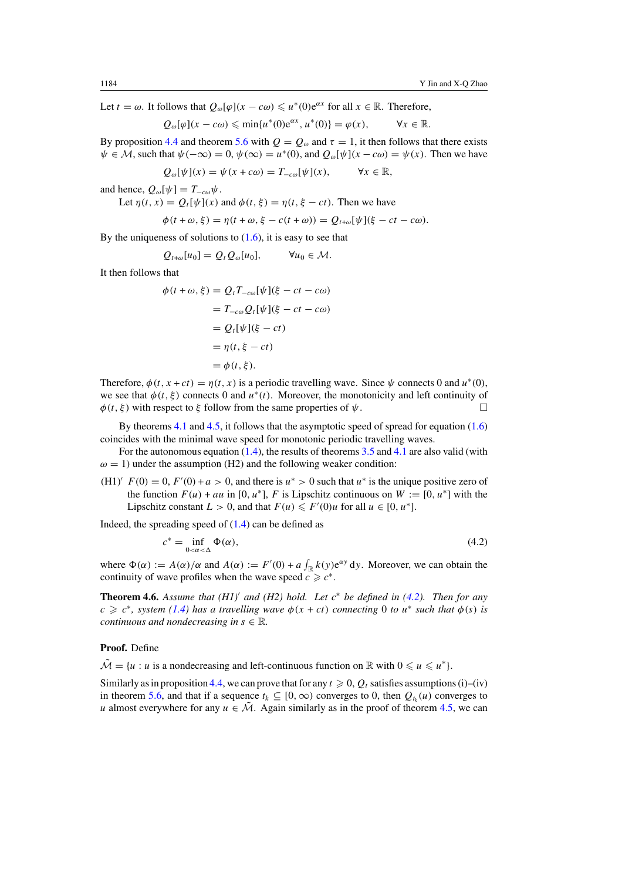Let  $t = \omega$ . It follows that  $Q_{\omega}[\varphi](x - c\omega) \leq u^*(0)e^{\alpha x}$  for all  $x \in \mathbb{R}$ . Therefore,

$$
Q_{\omega}[\varphi](x - c\omega) \le \min\{u^*(0)e^{\alpha x}, u^*(0)\} = \varphi(x), \qquad \forall x \in \mathbb{R}.
$$

By proposition [4.4](#page-14-0) and theorem [5.6](#page-20-0) with  $Q = Q_{\omega}$  and  $\tau = 1$ , it then follows that there exists  $\psi \in \mathcal{M}$ , such that  $\psi(-\infty) = 0$ ,  $\psi(\infty) = u^*(0)$ , and  $Q_{\omega}[\psi](x - c\omega) = \psi(x)$ . Then we have

$$
Q_{\omega}[\psi](x) = \psi(x + c\omega) = T_{-c\omega}[\psi](x), \qquad \forall x \in \mathbb{R},
$$

and hence,  $Q_{\omega}[\psi] = T_{-\alpha\omega}\psi$ .

Let  $\eta(t, x) = Q_t[\psi](x)$  and  $\phi(t, \xi) = \eta(t, \xi - ct)$ . Then we have

$$
\phi(t+\omega,\xi)=\eta(t+\omega,\xi-c(t+\omega))=Q_{t+\omega}[\psi](\xi-ct-c\omega).
$$

By the uniqueness of solutions to  $(1.6)$ , it is easy to see that

$$
Q_{t+\omega}[u_0] = Q_t Q_{\omega}[u_0], \qquad \forall u_0 \in \mathcal{M}.
$$

It then follows that

$$
\phi(t + \omega, \xi) = Q_t T_{-\omega}[\psi](\xi - ct - c\omega)
$$

$$
= T_{-c\omega} Q_t[\psi](\xi - ct - c\omega)
$$

$$
= Q_t[\psi](\xi - ct)
$$

$$
= \eta(t, \xi - ct)
$$

$$
= \phi(t, \xi).
$$

Therefore,  $\phi(t, x + ct) = \eta(t, x)$  is a periodic travelling wave. Since  $\psi$  connects 0 and  $u^*(0)$ , we see that  $\phi(t, \xi)$  connects 0 and  $u^*(t)$ . Moreover, the monotonicity and left continuity of  $\phi(t, \xi)$  with respect to  $\xi$  follow from the same properties of  $\psi$ .

By theorems [4.1](#page-12-0) and [4.5,](#page-16-0) it follows that the asymptotic speed of spread for equation [\(1.6\)](#page-2-0) coincides with the minimal wave speed for monotonic periodic travelling waves.

For the autonomous equation [\(1.4\)](#page-2-0), the results of theorems [3.5](#page-11-0) and [4.1](#page-12-0) are also valid (with  $\omega = 1$ ) under the assumption (H2) and the following weaker condition:

(H1)<sup>'</sup>  $F(0) = 0$ ,  $F'(0) + a > 0$ , and there is  $u^* > 0$  such that  $u^*$  is the unique positive zero of the function  $F(u) + au$  in [0, u<sup>\*</sup>], F is Lipschitz continuous on  $W := [0, u^*]$  with the Lipschitz constant  $L > 0$ , and that  $F(u) \leq F'(0)u$  for all  $u \in [0, u^*]$ .

Indeed, the spreading speed of  $(1.4)$  can be defined as

$$
c^* = \inf_{0 < \alpha < \Delta} \Phi(\alpha),\tag{4.2}
$$

where  $\Phi(\alpha) := A(\alpha)/\alpha$  and  $A(\alpha) := F'(0) + a \int_{\mathbb{R}} k(y) e^{\alpha y} dy$ . Moreover, we can obtain the continuity of wave profiles when the wave speed  $c \geq c^*$ .

**Theorem 4.6.** *Assume that (H1) and (H2) hold. Let c*<sup>∗</sup> *be defined in (4.2). Then for any*  $c \geq c^*$ , system [\(1.4\)](#page-2-0) has a travelling wave  $\phi(x + ct)$  connecting 0 to  $u^*$  such that  $\phi(s)$  is *continuous and nondecreasing in*  $s \in \mathbb{R}$ *.* 

## **Proof.** Define

 $\tilde{\mathcal{M}} = \{u : u \text{ is a nondecreasing and left-continuous function on } \mathbb{R} \text{ with } 0 \leq u \leq u^*\}.$ 

Similarly as in proposition [4.4,](#page-14-0) we can prove that for any  $t \ge 0$ ,  $Q_t$  satisfies assumptions (i)–(iv) in theorem [5.6,](#page-20-0) and that if a sequence  $t_k \subseteq [0, \infty)$  converges to 0, then  $Q_t(u)$  converges to *u* almost everywhere for any  $u \in \tilde{M}$ . Again similarly as in the proof of theorem [4.5,](#page-16-0) we can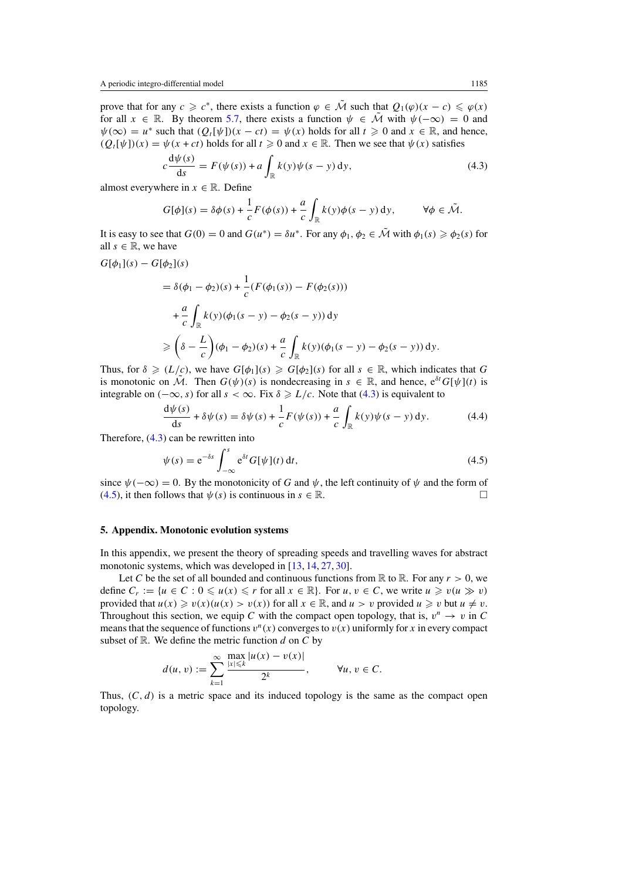<span id="page-18-0"></span>prove that for any  $c \geq c^*$ , there exists a function  $\varphi \in \tilde{\mathcal{M}}$  such that  $Q_1(\varphi)(x - c) \leq \varphi(x)$ for all  $x \in \mathbb{R}$ . By theorem [5.7,](#page-20-0) there exists a function  $\psi \in \tilde{\mathcal{M}}$  with  $\psi(-\infty) = 0$  and  $\psi(\infty) = u^*$  such that  $(Q_t[\psi])(x - ct) = \psi(x)$  holds for all  $t \ge 0$  and  $x \in \mathbb{R}$ , and hence,  $(Q_t[\psi])(x) = \psi(x + ct)$  holds for all  $t \ge 0$  and  $x \in \mathbb{R}$ . Then we see that  $\psi(x)$  satisfies

$$
c\frac{\mathrm{d}\psi(s)}{\mathrm{d}s} = F(\psi(s)) + a\int_{\mathbb{R}} k(y)\psi(s-y)\,\mathrm{d}y,\tag{4.3}
$$

almost everywhere in  $x \in \mathbb{R}$ . Define

$$
G[\phi](s) = \delta\phi(s) + \frac{1}{c}F(\phi(s)) + \frac{a}{c}\int_{\mathbb{R}} k(y)\phi(s-y) \,dy, \qquad \forall \phi \in \tilde{\mathcal{M}}.
$$

It is easy to see that  $G(0) = 0$  and  $G(u^*) = \delta u^*$ . For any  $\phi_1, \phi_2 \in \tilde{\mathcal{M}}$  with  $\phi_1(s) \ge \phi_2(s)$  for all  $s \in \mathbb{R}$ , we have

1

$$
G[\phi_1](s)-G[\phi_2](s)
$$

$$
= \delta(\phi_1 - \phi_2)(s) + \frac{1}{c}(F(\phi_1(s)) - F(\phi_2(s)))
$$
  
+  $\frac{a}{c} \int_{\mathbb{R}} k(y)(\phi_1(s - y) - \phi_2(s - y)) dy$   

$$
\geq (\delta - \frac{L}{c})(\phi_1 - \phi_2)(s) + \frac{a}{c} \int_{\mathbb{R}} k(y)(\phi_1(s - y) - \phi_2(s - y)) dy.
$$

Thus, for  $\delta \ge (L/c)$ , we have  $G[\phi_1](s) \ge G[\phi_2](s)$  for all  $s \in \mathbb{R}$ , which indicates that G is monotonic on  $\tilde{\mathcal{M}}$ . Then  $G(\psi)(s)$  is nondecreasing in  $s \in \mathbb{R}$ , and hence,  $e^{\delta t}G[\psi](t)$  is integrable on  $(-\infty, s)$  for all  $s < \infty$ . Fix  $\delta \ge L/c$ . Note that (4.3) is equivalent to

$$
\frac{d\psi(s)}{ds} + \delta\psi(s) = \delta\psi(s) + \frac{1}{c}F(\psi(s)) + \frac{a}{c}\int_{\mathbb{R}} k(y)\psi(s-y) dy.
$$
 (4.4)

Therefore, (4.3) can be rewritten into

$$
\psi(s) = e^{-\delta s} \int_{-\infty}^{s} e^{\delta t} G[\psi](t) dt,
$$
\n(4.5)

since  $\psi(-\infty) = 0$ . By the monotonicity of *G* and  $\psi$ , the left continuity of  $\psi$  and the form of (4.5), it then follows that  $\psi(s)$  is continuous in  $s \in \mathbb{R}$ .

#### **5. Appendix. Monotonic evolution systems**

In this appendix, we present the theory of spreading speeds and travelling waves for abstract monotonic systems, which was developed in [\[13,](#page-21-0) [14,](#page-21-0) [27,](#page-22-0) [30\]](#page-22-0).

Let *C* be the set of all bounded and continuous functions from  $\mathbb R$  to  $\mathbb R$ . For any  $r > 0$ , we define  $C_r := \{u \in C : 0 \leq u(x) \leq r \text{ for all } x \in \mathbb{R}\}.$  For  $u, v \in C$ , we write  $u \geq v(u) \geq v(v)$ provided that  $u(x) \ge v(x)(u(x) > v(x))$  for all  $x \in \mathbb{R}$ , and  $u > v$  provided  $u \ge v$  but  $u \ne v$ . Throughout this section, we equip *C* with the compact open topology, that is,  $v^n \rightarrow v$  in *C* means that the sequence of functions  $v^n(x)$  converges to  $v(x)$  uniformly for x in every compact subset of  $\mathbb R$ . We define the metric function  $d$  on  $C$  by

$$
d(u, v) := \sum_{k=1}^{\infty} \frac{\max_{|x| \leq k} |u(x) - v(x)|}{2^k}, \quad \forall u, v \in C.
$$

Thus,  $(C, d)$  is a metric space and its induced topology is the same as the compact open topology.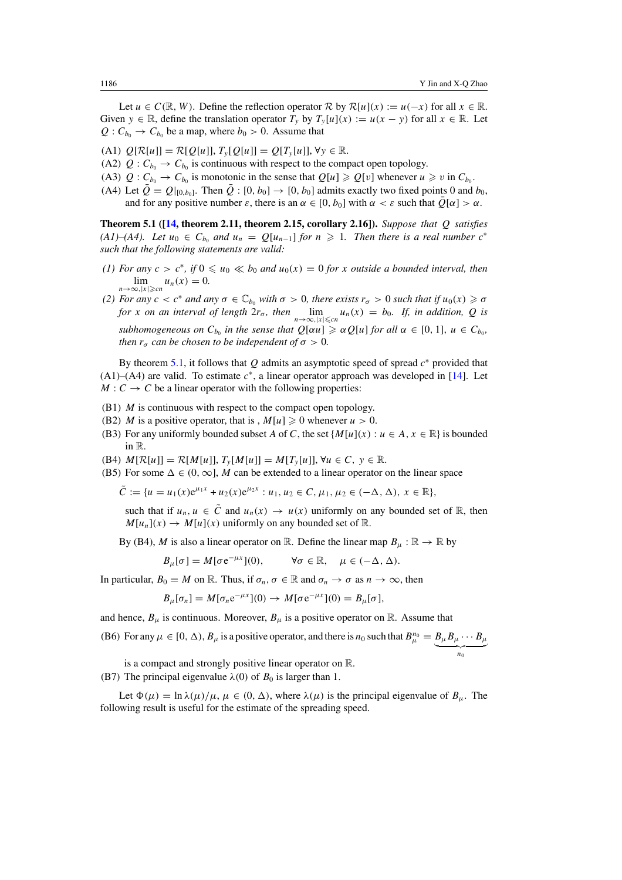<span id="page-19-0"></span>Let  $u \in C(\mathbb{R}, W)$ . Define the reflection operator  $\mathcal{R}$  by  $\mathcal{R}[u](x) := u(-x)$  for all  $x \in \mathbb{R}$ . Given  $y \in \mathbb{R}$ , define the translation operator  $T_y$  by  $T_y[u](x) := u(x - y)$  for all  $x \in \mathbb{R}$ . Let  $Q: C_{b_0} \to C_{b_0}$  be a map, where  $b_0 > 0$ . Assume that

- (A1)  $Q[{\mathcal{R}}[u]] = {\mathcal{R}}[Q[u]], T_{\nu}[Q[u]] = Q[T_{\nu}[u]], \forall y \in \mathbb{R}$ .
- (A2)  $Q: C_{b_0} \to C_{b_0}$  is continuous with respect to the compact open topology.
- (A3)  $Q: C_{b_0} \to C_{b_0}$  is monotonic in the sense that  $Q[u] \geq Q[v]$  whenever  $u \geq v$  in  $C_{b_0}$ .
- (A4) Let  $\overline{Q} = Q|_{[0,b_0]}$ . Then  $\overline{Q} : [0, b_0] \rightarrow [0, b_0]$  admits exactly two fixed points 0 and  $b_0$ , and for any positive number  $\varepsilon$ , there is an  $\alpha \in [0, b_0]$  with  $\alpha < \varepsilon$  such that  $\overline{Q}[\alpha] > \alpha$ .

**Theorem 5.1 ([\[14,](#page-21-0) theorem 2.11, theorem 2.15, corollary 2.16]).** *Suppose that Q satisfies*  $(A1)$ – $(A4)$ . Let  $u_0 \in C_{b_0}$  and  $u_n = Q[u_{n-1}]$  for  $n \geq 1$ . Then there is a real number  $c^*$ *such that the following statements are valid:*

- *(1) For any*  $c > c^*$ , *if* 0 ≤  $u_0$  ≪  $b_0$  *and*  $u_0(x) = 0$  *for x outside a bounded interval, then*  $\lim_{n\to\infty,|x|\geqslant cn}u_n(x)=0.$
- *(2) For any*  $c < c^*$  *and any*  $\sigma \in \mathbb{C}_{b_0}$  *with*  $\sigma > 0$ *, there exists*  $r_{\sigma} > 0$  *such that if*  $u_0(x) \geq \sigma$ *for x on an interval of length*  $2r_{\sigma}$ *, then*  $\lim_{n\to\infty, |x| \leq c_n} u_n(x) = b_0$ *. If, in addition, Q is subhomogeneous on*  $C_{b_0}$  *in the sense that*  $Q[\alpha u] \geq \alpha Q[u]$  *for all*  $\alpha \in [0, 1]$ *,*  $u \in C_{b_0}$ *, then*  $r_{\sigma}$  *can be chosen to be independent of*  $\sigma > 0$ *.*

By theorem 5.1, it follows that *Q* admits an asymptotic speed of spread *c*<sup>∗</sup> provided that (A1)–(A4) are valid. To estimate *c*<sup>∗</sup>, a linear operator approach was developed in [\[14\]](#page-21-0). Let  $M: C \to C$  be a linear operator with the following properties:

- (B1) *M* is continuous with respect to the compact open topology.
- (B2) *M* is a positive operator, that is ,  $M[u] \ge 0$  whenever  $u > 0$ .
- (B3) For any uniformly bounded subset *A* of *C*, the set  $\{M[u](x) : u \in A, x \in \mathbb{R}\}$  is bounded in R.
- $(M[\mathcal{R}[u]] = \mathcal{R}[M[u]], T_{y}[M[u]] = M[T_{y}[u]], \forall u \in C, y \in \mathbb{R}.$
- (B5) For some  $\Delta \in (0, \infty]$ , *M* can be extended to a linear operator on the linear space

$$
\tilde{C} := \{u = u_1(x)e^{\mu_1 x} + u_2(x)e^{\mu_2 x} : u_1, u_2 \in C, \mu_1, \mu_2 \in (-\Delta, \Delta), x \in \mathbb{R}\},\
$$

such that if  $u_n, u \in \overline{C}$  and  $u_n(x) \to u(x)$  uniformly on any bounded set of R, then  $M[u_n](x) \to M[u](x)$  uniformly on any bounded set of R.

By (B4), *M* is also a linear operator on R. Define the linear map  $B_\mu : \mathbb{R} \to \mathbb{R}$  by

$$
B_{\mu}[\sigma] = M[\sigma e^{-\mu x}](0), \qquad \forall \sigma \in \mathbb{R}, \quad \mu \in (-\Delta, \Delta).
$$

In particular,  $B_0 = M$  on R. Thus, if  $\sigma_n$ ,  $\sigma \in \mathbb{R}$  and  $\sigma_n \to \sigma$  as  $n \to \infty$ , then

$$
B_{\mu}[\sigma_n] = M[\sigma_n e^{-\mu x}](0) \to M[\sigma e^{-\mu x}](0) = B_{\mu}[\sigma],
$$

and hence,  $B_{\mu}$  is continuous. Moreover,  $B_{\mu}$  is a positive operator on R. Assume that

(B6) For any  $\mu \in [0, \Delta)$ ,  $B_{\mu}$  is a positive operator, and there is  $n_0$  such that  $B_{\mu}^{n_0} = B_{\mu}B_{\mu} \cdots B_{\mu}$  $\overline{\phantom{a_{n_0}}}$ 

is a compact and strongly positive linear operator on R. (B7) The principal eigenvalue  $\lambda(0)$  of  $B_0$  is larger than 1.

Let  $\Phi(\mu) = \ln \lambda(\mu)/\mu$ ,  $\mu \in (0, \Delta)$ , where  $\lambda(\mu)$  is the principal eigenvalue of  $B_{\mu}$ . The following result is useful for the estimate of the spreading speed.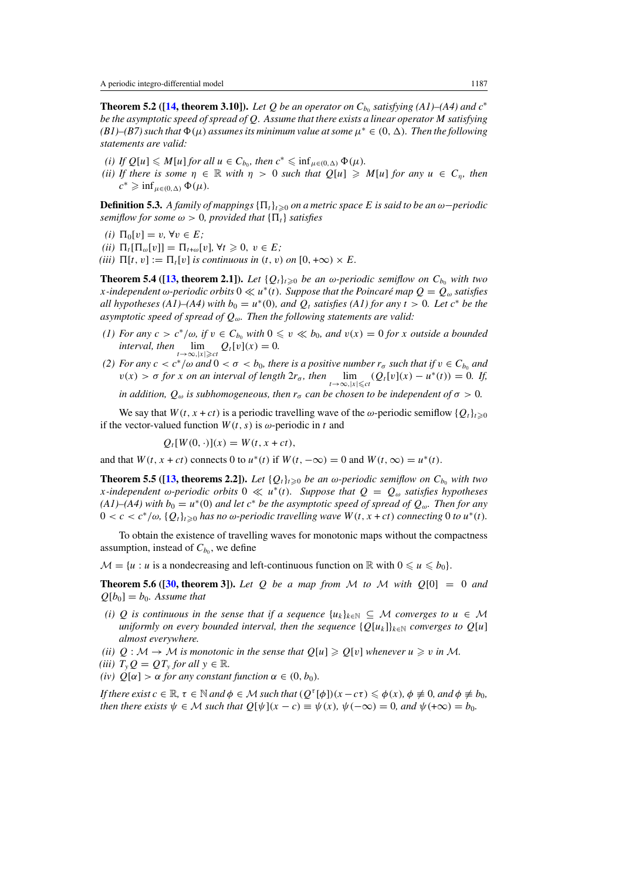<span id="page-20-0"></span>**Theorem 5.2 ([\[14,](#page-21-0) theorem 3.10]).** *Let Q be an operator on*  $C_{b_0}$  *satisfying (A1)–(A4) and*  $c^*$ *be the asymptotic speed of spread of Q. Assume that there exists a linear operator M satisfying*  $(B1)$ – $(B7)$  *such that*  $\Phi(\mu)$  *assumes its minimum value at some*  $\mu^* \in (0, \Delta)$ *. Then the following statements are valid:*

- $(i)$  *If*  $Q[u] \leq M[u]$  *for all*  $u \in C_{b_0}$ *, then*  $c^* \leq \inf_{\mu \in (0,\Delta)} \Phi(\mu)$ *.*
- *(ii)* If there is some  $\eta \in \mathbb{R}$  with  $\eta > 0$  such that  $Q[u] \ge M[u]$  for any  $u \in C_n$ , then  $c^*$   $\geq$  inf<sub>*µ*∈</sub>(0*,*  $\Delta$ )  $\Phi(\mu)$ *.*

**Definition 5.3.** *A family of mappings*  $\{\Pi_t\}_{t\geq0}$  *on a metric space E is said to be an*  $\omega$ −*periodic semiflow for some*  $\omega > 0$ *, provided that*  $\{\Pi_t\}$  *satisfies* 

- *(i)*  $\Pi_0[v] = v, \forall v \in E$ ;
- $(iii)$   $\Pi_t[\Pi_{\omega}[v]] = \Pi_{t+\omega}[v], \forall t \geq 0, v \in E;$
- *(iii)*  $\Pi[t, v] := \Pi_t[v]$  *is continuous in*  $(t, v)$  *on*  $[0, +\infty) \times E$ .

**Theorem 5.4 ([\[13,](#page-21-0) theorem 2.1]).** *Let*  $\{Q_t\}_{t\geq0}$  *be an*  $\omega$ *-periodic semiflow on*  $C_{b_0}$  *with two x*-independent  $\omega$ -periodic orbits  $0 \ll u^*(t)$ . Suppose that the Poincaré map  $Q = Q_\omega$  satisfies *all hypotheses (A1)–(A4) with*  $b_0 = u^*(0)$ *, and*  $Q_t$  *satisfies (A1) for any*  $t > 0$ *. Let*  $c^*$  *be the asymptotic speed of spread of Qω. Then the following statements are valid:*

- *(1) For any*  $c > c^*/\omega$ , if  $v \in C_{b_0}$  with  $0 \le v \ll b_0$ , and  $v(x) = 0$  for x outside a bounded *interval, then*  $\lim_{t\to\infty,|x|\geq ct} Q_t[v](x) = 0.$
- *(2) For any*  $c < c^*/\omega$  *and*  $0 < \sigma < b_0$ , there is a positive number  $r_\sigma$  such that if  $v \in C_{b_0}$  and  $v(x) > \sigma$  *for x on an interval of length*  $2r_{\sigma}$ *, then*  $\lim_{t \to \infty, |x| \le ct} (Q_t[v](x) - u^*(t)) = 0$ *. If,*

*in addition,*  $Q_{\omega}$  *is subhomogeneous, then*  $r_{\sigma}$  *can be chosen to be independent of*  $\sigma > 0$ *.* 

We say that  $W(t, x + ct)$  is a periodic travelling wave of the  $\omega$ -periodic semiflow  $\{Q_t\}_{t\geq0}$ if the vector-valued function  $W(t, s)$  is  $\omega$ -periodic in *t* and

$$
Q_t[W(0,\cdot)](x) = W(t, x + ct),
$$

and that  $W(t, x + ct)$  connects 0 to  $u^*(t)$  if  $W(t, -\infty) = 0$  and  $W(t, \infty) = u^*(t)$ .

**Theorem 5.5 ([\[13,](#page-21-0) theorems 2.2]).** *Let*  $\{Q_t\}_{t\geq0}$  *be an*  $\omega$ *-periodic semiflow on*  $C_{b_0}$  *with two x*-independent *ω*-periodic orbits  $0 \ll u^*(t)$ *. Suppose that*  $Q = Q_\omega$  *satisfies hypotheses*  $(A1)$ – $(A4)$  with  $b_0 = u^*(0)$  *and let*  $c^*$  *be the asymptotic speed of spread of*  $Q_\omega$ *. Then for any*  $0 < c < c^*/\omega$ ,  $\{Q_t\}_{t\geq 0}$  has no  $\omega$ -periodic travelling wave  $W(t, x + ct)$  connecting 0 to  $u^*(t)$ .

To obtain the existence of travelling waves for monotonic maps without the compactness assumption, instead of  $C_{b_0}$ , we define

 $M = \{u : u \text{ is a nondecreasing and left-continuous function on } \mathbb{R} \text{ with } 0 \leq u \leq b_0\}.$ 

**Theorem 5.6 ([\[30,](#page-22-0) theorem 3]).** Let Q be a map from M to M with  $Q[0] = 0$  and  $Q[b_0] = b_0$ . Assume that

- *(i)*  $Q$  *is continuous in the sense that if a sequence*  $\{u_k\}_{k\in\mathbb{N}} \subseteq M$  *converges to*  $u \in M$ *uniformly on every bounded interval, then the sequence*  $\{Q[u_k]\}_{k\in\mathbb{N}}$  *converges to*  $Q[u]$ *almost everywhere.*
- *(ii)*  $Q : \mathcal{M} \to \mathcal{M}$  *is monotonic in the sense that*  $Q[u] \geq Q[v]$  *whenever*  $u \geq v$  *in*  $\mathcal{M}$ *.*
- *(iii)*  $T_v Q = QT_v$  *for all*  $y \in \mathbb{R}$ *.*
- *(iv)*  $Q[\alpha] > \alpha$  *for any constant function*  $\alpha \in (0, b_0)$ *.*

*If there exist*  $c \in \mathbb{R}$ ,  $\tau \in \mathbb{N}$  and  $\phi \in \mathcal{M}$  such that  $(Q^{\tau}[\phi])(x - c\tau) \leq \phi(x)$ ,  $\phi \neq 0$ , and  $\phi \neq b_0$ , *then there exists*  $\psi \in \mathcal{M}$  *such that*  $Q[\psi](x - c) \equiv \psi(x), \psi(-\infty) = 0$ *, and*  $\psi(+\infty) = b_0$ *.*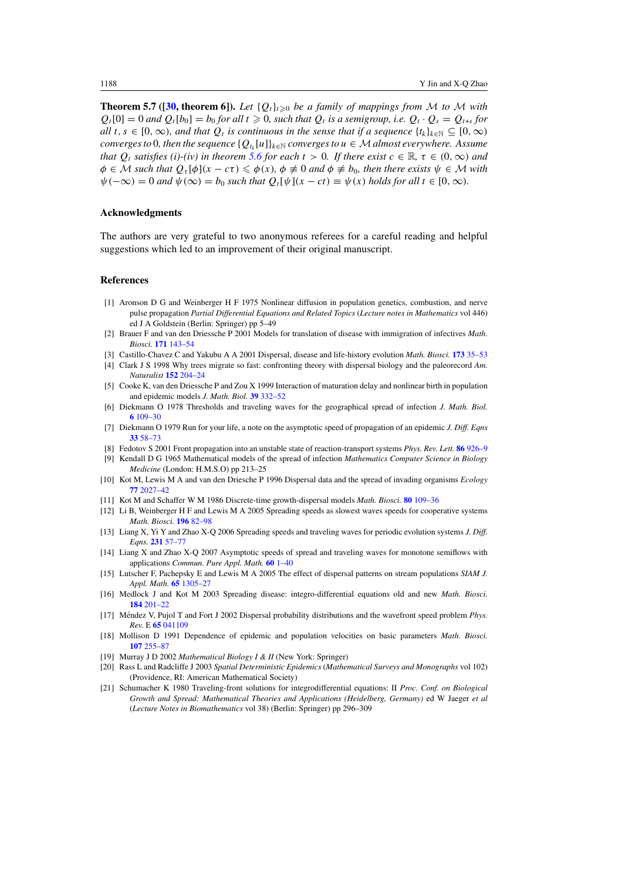<span id="page-21-0"></span>**Theorem 5.7 ([\[30,](#page-22-0) theorem 6]).** *Let*  ${Q_t}_{t\geq0}$  *be a family of mappings from M to M with*  $Q_t[0] = 0$  *and*  $Q_t[b_0] = b_0$  *for all*  $t \ge 0$ *, such that*  $Q_t$  *is a semigroup, i.e.*  $Q_t \cdot Q_s = Q_{t+s}$  *for*  $all$  *t*,  $s \in [0, \infty)$ *, and that*  $Q_t$  *is continuous in the sense that if a sequence*  $\{t_k\}_{k \in \mathbb{N}} \subseteq [0, \infty)$ *converges to* 0*, then the sequence*  ${Q_k[u]}_{k \in \mathbb{N}}$  *converges to*  $u \in \mathcal{M}$  *almost everywhere. Assume that*  $Q_t$  *satisfies* (*i*)-(*iv*) *in theorem* [5.6](#page-20-0) *for each*  $t > 0$ *. If there exist*  $c \in \mathbb{R}$ *,*  $\tau \in (0, \infty)$  *and*  $\phi \in \mathcal{M}$  *such that*  $Q_{\tau}[\phi](x - c\tau) \leq \phi(x)$ ,  $\phi \neq 0$  *and*  $\phi \neq b_0$ *, then there exists*  $\psi \in \mathcal{M}$  *with*  $\psi(-\infty) = 0$  and  $\psi(\infty) = b_0$  such that  $Q_t[\psi](x - ct) \equiv \psi(x)$  holds for all  $t \in [0, \infty)$ .

#### **Acknowledgments**

The authors are very grateful to two anonymous referees for a careful reading and helpful suggestions which led to an improvement of their original manuscript.

#### **References**

- [1] Aronson D G and Weinberger H F 1975 Nonlinear diffusion in population genetics, combustion, and nerve pulse propagation *Partial Differential Equations and Related Topics* (*Lecture notes in Mathematics* vol 446) ed J A Goldstein (Berlin: Springer) pp 5–49
- [2] Brauer F and van den Driessche P 2001 Models for translation of disease with immigration of infectives *Math. Biosci.* **171** [143–54](http://dx.doi.org/10.1016/S0025-5564(01)00057-8)
- [3] Castillo-Chavez C and Yakubu A A 2001 Dispersal, disease and life-history evolution *Math. Biosci.* **173** [35–53](http://dx.doi.org/10.1016/S0025-5564(01)00065-7)
- [4] Clark J S 1998 Why trees migrate so fast: confronting theory with dispersal biology and the paleorecord *Am. Naturalist* **152** [204–24](http://dx.doi.org/10.1086/286162)
- [5] Cooke K, van den Driessche P and Zou X 1999 Interaction of maturation delay and nonlinear birth in population and epidemic models *J. Math. Biol.* **39** [332–52](http://dx.doi.org/10.1007/s002850050194)
- [6] Diekmann O 1978 Thresholds and traveling waves for the geographical spread of infection *J. Math. Biol.* **6** [109–30](http://dx.doi.org/10.1007/BF02450783)
- [7] Diekmann O 1979 Run for your life, a note on the asymptotic speed of propagation of an epidemic *J. Diff. Eqns* **33** [58–73](http://dx.doi.org/10.1016/0022-0396(79)90080-9)
- [8] Fedotov S 2001 Front propagation into an unstable state of reaction-transport systems *Phys. Rev. Lett.* **86** [926–9](http://dx.doi.org/10.1103/PhysRevLett.86.926)
- [9] Kendall D G 1965 Mathematical models of the spread of infection *Mathematics Computer Science in Biology Medicine* (London: H.M.S.O) pp 213–25
- [10] Kot M, Lewis M A and van den Driesche P 1996 Dispersal data and the spread of invading organisms *Ecology* **77** [2027–42](http://dx.doi.org/10.2307/2265698)
- [11] Kot M and Schaffer W M 1986 Discrete-time growth-dispersal models *Math. Biosci.* **80** [109–36](http://dx.doi.org/10.1016/0025-5564(86)90069-6)
- [12] Li B, Weinberger H F and Lewis M A 2005 Spreading speeds as slowest waves speeds for cooperative systems *Math. Biosci.* **196** [82–98](http://dx.doi.org/10.1016/j.mbs.2005.03.008)
- [13] Liang X, Yi Y and Zhao X-Q 2006 Spreading speeds and traveling waves for periodic evolution systems *J. Diff. Eqns.* **231** [57–77](http://dx.doi.org/10.1016/j.jde.2006.04.010)
- [14] Liang X and Zhao X-Q 2007 Asymptotic speeds of spread and traveling waves for monotone semiflows with applications *Commun. Pure Appl. Math.* **60** [1–40](http://dx.doi.org/10.1002/cpa.20154)
- [15] Lutscher F, Pachepsky E and Lewis M A 2005 The effect of dispersal patterns on stream populations *SIAM J. Appl. Math.* **65** [1305–27](http://dx.doi.org/10.1137/S0036139904440400)
- [16] Medlock J and Kot M 2003 Spreading disease: integro-differential equations old and new *Math. Biosci.* **184** [201–22](http://dx.doi.org/10.1016/S0025-5564(03)00041-5)
- [17] Méndez V, Pujol T and Fort J 2002 Dispersal probability distributions and the wavefront speed problem Phys. *Rev.* E **65** [041109](http://dx.doi.org/10.1103/PhysRevE.65.041109)
- [18] Mollison D 1991 Dependence of epidemic and population velocities on basic parameters *Math. Biosci.* **107** [255–87](http://dx.doi.org/10.1016/0025-5564(91)90009-8)
- [19] Murray J D 2002 *Mathematical Biology I & II* (New York: Springer)
- [20] Rass L and Radcliffe J 2003 *Spatial Deterministic Epidemics* (*Mathematical Surveys and Monographs* vol 102) (Providence, RI: American Mathematical Society)
- [21] Schumacher K 1980 Traveling-front solutions for integrodifferential equations: II *Proc. Conf. on Biological Growth and Spread: Mathematical Theories and Applications (Heidelberg, Germany)* ed W Jaeger *et al* (*Lecture Notes in Biomathematics* vol 38) (Berlin: Springer) pp 296–309